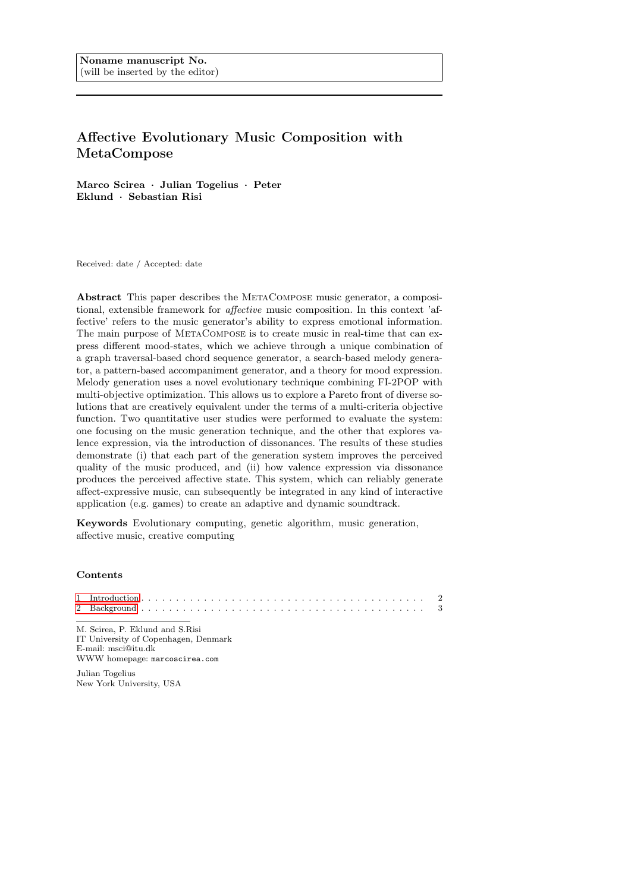# Affective Evolutionary Music Composition with MetaCompose

Marco Scirea · Julian Togelius · Peter Eklund · Sebastian Risi

Received: date / Accepted: date

Abstract This paper describes the MetaCompose music generator, a compositional, extensible framework for affective music composition. In this context 'affective' refers to the music generator's ability to express emotional information. The main purpose of METACOMPOSE is to create music in real-time that can express different mood-states, which we achieve through a unique combination of a graph traversal-based chord sequence generator, a search-based melody generator, a pattern-based accompaniment generator, and a theory for mood expression. Melody generation uses a novel evolutionary technique combining FI-2POP with multi-objective optimization. This allows us to explore a Pareto front of diverse solutions that are creatively equivalent under the terms of a multi-criteria objective function. Two quantitative user studies were performed to evaluate the system: one focusing on the music generation technique, and the other that explores valence expression, via the introduction of dissonances. The results of these studies demonstrate (i) that each part of the generation system improves the perceived quality of the music produced, and (ii) how valence expression via dissonance produces the perceived affective state. This system, which can reliably generate affect-expressive music, can subsequently be integrated in any kind of interactive application (e.g. games) to create an adaptive and dynamic soundtrack.

Keywords Evolutionary computing, genetic algorithm, music generation, affective music, creative computing

# **Contents**

| the contract of the contract of the contract of the contract of the contract of the contract of |  |
|-------------------------------------------------------------------------------------------------|--|
| M. Scirea, P. Eklund and S. Risi                                                                |  |

IT University of Copenhagen, Denmark E-mail: msci@itu.dk WWW homepage: marcoscirea.com

Julian Togelius New York University, USA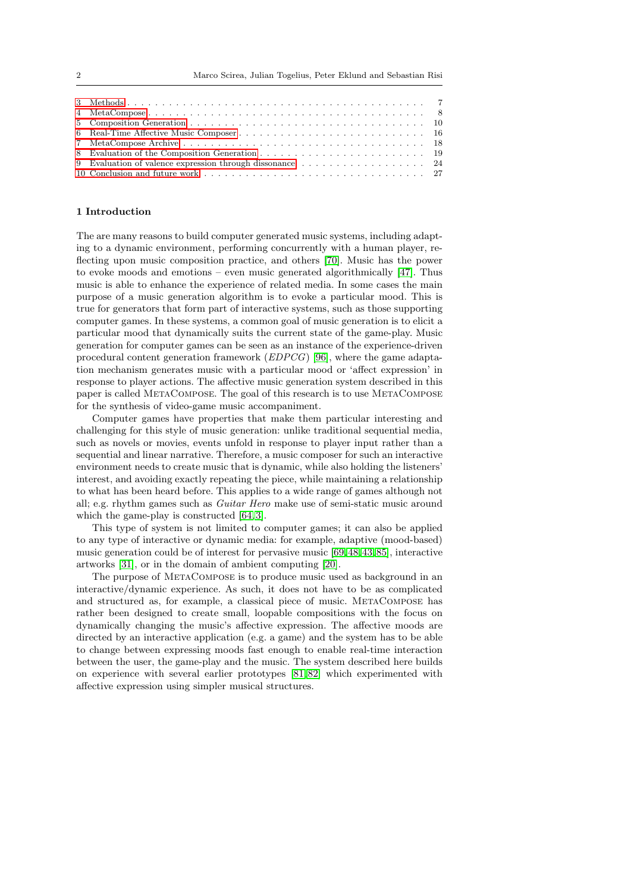| 9 Evaluation of valence expression through dissonance 24 |  |  |  |  |  |  |  |  |
|----------------------------------------------------------|--|--|--|--|--|--|--|--|
|                                                          |  |  |  |  |  |  |  |  |

#### <span id="page-1-0"></span>1 Introduction

The are many reasons to build computer generated music systems, including adapting to a dynamic environment, performing concurrently with a human player, reflecting upon music composition practice, and others [\[70\]](#page-30-0). Music has the power to evoke moods and emotions – even music generated algorithmically [\[47\]](#page-29-0). Thus music is able to enhance the experience of related media. In some cases the main purpose of a music generation algorithm is to evoke a particular mood. This is true for generators that form part of interactive systems, such as those supporting computer games. In these systems, a common goal of music generation is to elicit a particular mood that dynamically suits the current state of the game-play. Music generation for computer games can be seen as an instance of the experience-driven procedural content generation framework (EDPCG) [\[96\]](#page-31-0), where the game adaptation mechanism generates music with a particular mood or 'affect expression' in response to player actions. The affective music generation system described in this paper is called MetaCompose. The goal of this research is to use MetaCompose for the synthesis of video-game music accompaniment.

Computer games have properties that make them particular interesting and challenging for this style of music generation: unlike traditional sequential media, such as novels or movies, events unfold in response to player input rather than a sequential and linear narrative. Therefore, a music composer for such an interactive environment needs to create music that is dynamic, while also holding the listeners' interest, and avoiding exactly repeating the piece, while maintaining a relationship to what has been heard before. This applies to a wide range of games although not all; e.g. rhythm games such as Guitar Hero make use of semi-static music around which the game-play is constructed  $[64, 3]$  $[64, 3]$ .

This type of system is not limited to computer games; it can also be applied to any type of interactive or dynamic media: for example, adaptive (mood-based) music generation could be of interest for pervasive music [\[69,](#page-30-2)[48,](#page-29-1) [43,](#page-29-2) [85\]](#page-30-3), interactive artworks [\[31\]](#page-28-0), or in the domain of ambient computing [\[20\]](#page-28-1).

The purpose of MetaCompose is to produce music used as background in an interactive/dynamic experience. As such, it does not have to be as complicated and structured as, for example, a classical piece of music. MetaCompose has rather been designed to create small, loopable compositions with the focus on dynamically changing the music's affective expression. The affective moods are directed by an interactive application (e.g. a game) and the system has to be able to change between expressing moods fast enough to enable real-time interaction between the user, the game-play and the music. The system described here builds on experience with several earlier prototypes [\[81,](#page-30-4) [82\]](#page-30-5) which experimented with affective expression using simpler musical structures.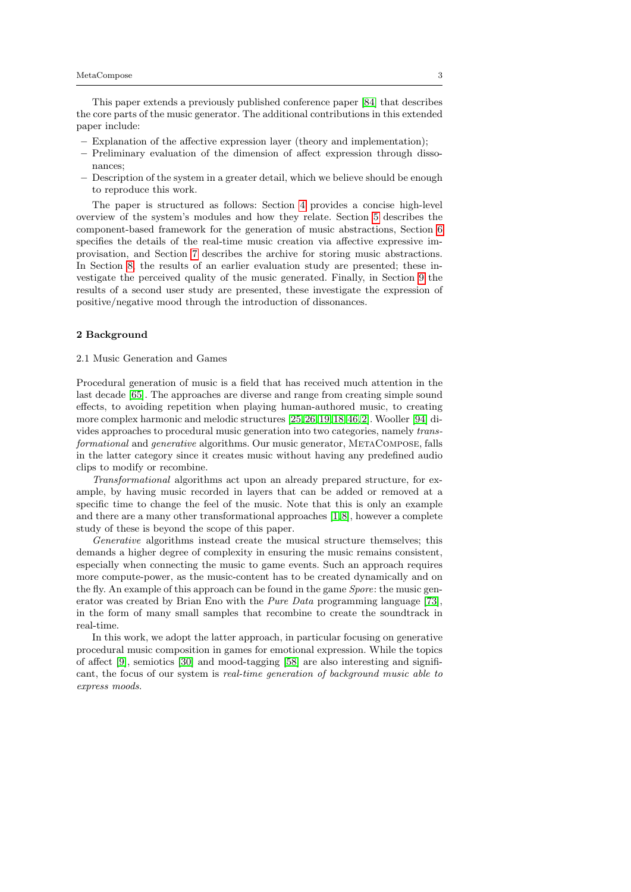This paper extends a previously published conference paper [\[84\]](#page-30-6) that describes the core parts of the music generator. The additional contributions in this extended paper include:

- Explanation of the affective expression layer (theory and implementation);
- Preliminary evaluation of the dimension of affect expression through dissonances;
- Description of the system in a greater detail, which we believe should be enough to reproduce this work.

The paper is structured as follows: Section [4](#page-8-0) provides a concise high-level overview of the system's modules and how they relate. Section [5](#page-9-0) describes the component-based framework for the generation of music abstractions, Section [6](#page-15-0) specifies the details of the real-time music creation via affective expressive improvisation, and Section [7](#page-17-0) describes the archive for storing music abstractions. In Section [8,](#page-18-0) the results of an earlier evaluation study are presented; these investigate the perceived quality of the music generated. Finally, in Section [9](#page-23-0) the results of a second user study are presented, these investigate the expression of positive/negative mood through the introduction of dissonances.

## <span id="page-2-0"></span>2 Background

## 2.1 Music Generation and Games

Procedural generation of music is a field that has received much attention in the last decade [\[65\]](#page-30-7). The approaches are diverse and range from creating simple sound effects, to avoiding repetition when playing human-authored music, to creating more complex harmonic and melodic structures [\[25,](#page-28-2) [26,](#page-28-3)[19,](#page-28-4) [18,](#page-28-5) [46,](#page-29-3) [2\]](#page-27-1). Wooller [\[94\]](#page-31-1) divides approaches to procedural music generation into two categories, namely transformational and generative algorithms. Our music generator, MetaCompose, falls in the latter category since it creates music without having any predefined audio clips to modify or recombine.

Transformational algorithms act upon an already prepared structure, for example, by having music recorded in layers that can be added or removed at a specific time to change the feel of the music. Note that this is only an example and there are a many other transformational approaches [\[1,](#page-27-2) [8\]](#page-28-6), however a complete study of these is beyond the scope of this paper.

Generative algorithms instead create the musical structure themselves; this demands a higher degree of complexity in ensuring the music remains consistent, especially when connecting the music to game events. Such an approach requires more compute-power, as the music-content has to be created dynamically and on the fly. An example of this approach can be found in the game Spore: the music generator was created by Brian Eno with the Pure Data programming language [\[73\]](#page-30-8), in the form of many small samples that recombine to create the soundtrack in real-time.

In this work, we adopt the latter approach, in particular focusing on generative procedural music composition in games for emotional expression. While the topics of affect [\[9\]](#page-28-7), semiotics [\[30\]](#page-28-8) and mood-tagging [\[58\]](#page-29-4) are also interesting and significant, the focus of our system is real-time generation of background music able to express moods.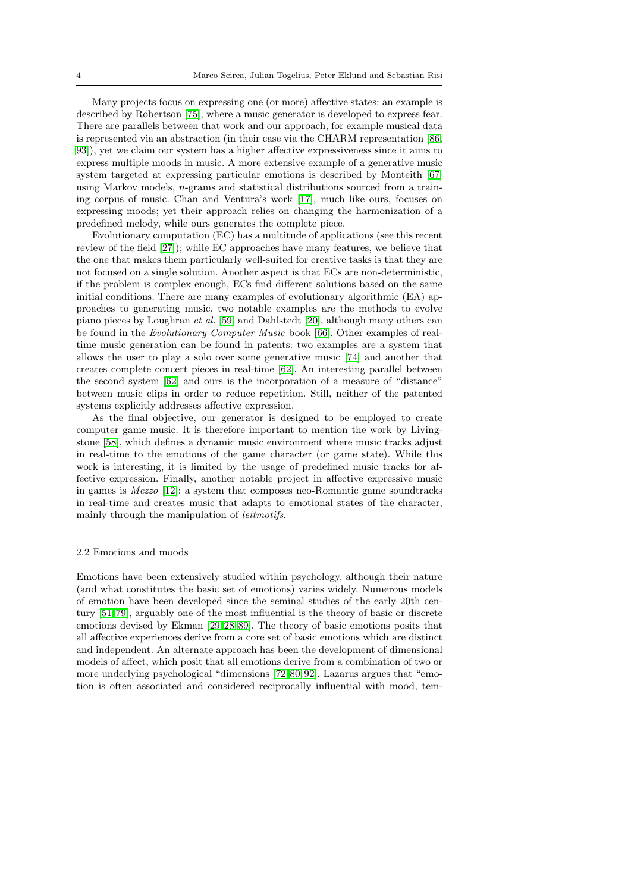Many projects focus on expressing one (or more) affective states: an example is described by Robertson [\[75\]](#page-30-9), where a music generator is developed to express fear. There are parallels between that work and our approach, for example musical data is represented via an abstraction (in their case via the CHARM representation [\[86,](#page-30-10) [93\]](#page-31-2)), yet we claim our system has a higher affective expressiveness since it aims to express multiple moods in music. A more extensive example of a generative music system targeted at expressing particular emotions is described by Monteith [\[67\]](#page-30-11) using Markov models,  $n$ -grams and statistical distributions sourced from a training corpus of music. Chan and Ventura's work [\[17\]](#page-28-9), much like ours, focuses on expressing moods; yet their approach relies on changing the harmonization of a predefined melody, while ours generates the complete piece.

Evolutionary computation (EC) has a multitude of applications (see this recent review of the field [\[27\]](#page-28-10)); while EC approaches have many features, we believe that the one that makes them particularly well-suited for creative tasks is that they are not focused on a single solution. Another aspect is that ECs are non-deterministic, if the problem is complex enough, ECs find different solutions based on the same initial conditions. There are many examples of evolutionary algorithmic (EA) approaches to generating music, two notable examples are the methods to evolve piano pieces by Loughran et al. [\[59\]](#page-30-12) and Dahlstedt [\[20\]](#page-28-1), although many others can be found in the Evolutionary Computer Music book [\[66\]](#page-30-13). Other examples of realtime music generation can be found in patents: two examples are a system that allows the user to play a solo over some generative music [\[74\]](#page-30-14) and another that creates complete concert pieces in real-time [\[62\]](#page-30-15). An interesting parallel between the second system [\[62\]](#page-30-15) and ours is the incorporation of a measure of "distance" between music clips in order to reduce repetition. Still, neither of the patented systems explicitly addresses affective expression.

As the final objective, our generator is designed to be employed to create computer game music. It is therefore important to mention the work by Livingstone [\[58\]](#page-29-4), which defines a dynamic music environment where music tracks adjust in real-time to the emotions of the game character (or game state). While this work is interesting, it is limited by the usage of predefined music tracks for affective expression. Finally, another notable project in affective expressive music in games is Mezzo [\[12\]](#page-28-11): a system that composes neo-Romantic game soundtracks in real-time and creates music that adapts to emotional states of the character, mainly through the manipulation of leitmotifs.

# 2.2 Emotions and moods

Emotions have been extensively studied within psychology, although their nature (and what constitutes the basic set of emotions) varies widely. Numerous models of emotion have been developed since the seminal studies of the early 20th century [\[51,](#page-29-5) [79\]](#page-30-16), arguably one of the most influential is the theory of basic or discrete emotions devised by Ekman [\[29,](#page-28-12)[28,](#page-28-13) [89\]](#page-31-3). The theory of basic emotions posits that all affective experiences derive from a core set of basic emotions which are distinct and independent. An alternate approach has been the development of dimensional models of affect, which posit that all emotions derive from a combination of two or more underlying psychological "dimensions [\[72,](#page-30-17) [80,](#page-30-18) [92\]](#page-31-4). Lazarus argues that "emotion is often associated and considered reciprocally influential with mood, tem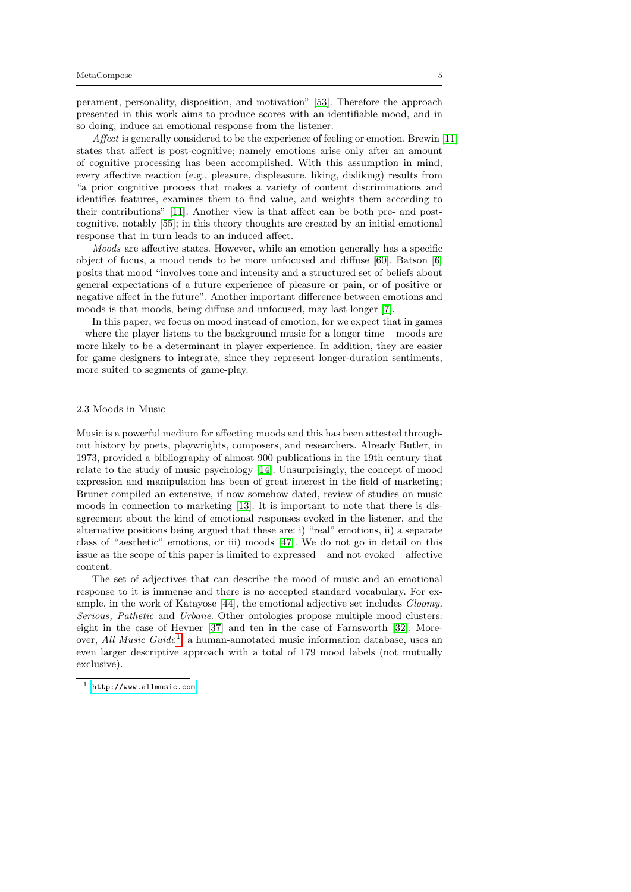perament, personality, disposition, and motivation" [\[53\]](#page-29-6). Therefore the approach presented in this work aims to produce scores with an identifiable mood, and in so doing, induce an emotional response from the listener.

Affect is generally considered to be the experience of feeling or emotion. Brewin [\[11\]](#page-28-14) states that affect is post-cognitive; namely emotions arise only after an amount of cognitive processing has been accomplished. With this assumption in mind, every affective reaction (e.g., pleasure, displeasure, liking, disliking) results from "a prior cognitive process that makes a variety of content discriminations and identifies features, examines them to find value, and weights them according to their contributions" [\[11\]](#page-28-14). Another view is that affect can be both pre- and postcognitive, notably [\[55\]](#page-29-7); in this theory thoughts are created by an initial emotional response that in turn leads to an induced affect.

Moods are affective states. However, while an emotion generally has a specific object of focus, a mood tends to be more unfocused and diffuse [\[60\]](#page-30-19). Batson [\[6\]](#page-28-15) posits that mood "involves tone and intensity and a structured set of beliefs about general expectations of a future experience of pleasure or pain, or of positive or negative affect in the future". Another important difference between emotions and moods is that moods, being diffuse and unfocused, may last longer [\[7\]](#page-28-16).

In this paper, we focus on mood instead of emotion, for we expect that in games – where the player listens to the background music for a longer time – moods are more likely to be a determinant in player experience. In addition, they are easier for game designers to integrate, since they represent longer-duration sentiments, more suited to segments of game-play.

## 2.3 Moods in Music

Music is a powerful medium for affecting moods and this has been attested throughout history by poets, playwrights, composers, and researchers. Already Butler, in 1973, provided a bibliography of almost 900 publications in the 19th century that relate to the study of music psychology [\[14\]](#page-28-17). Unsurprisingly, the concept of mood expression and manipulation has been of great interest in the field of marketing; Bruner compiled an extensive, if now somehow dated, review of studies on music moods in connection to marketing [\[13\]](#page-28-18). It is important to note that there is disagreement about the kind of emotional responses evoked in the listener, and the alternative positions being argued that these are: i) "real" emotions, ii) a separate class of "aesthetic" emotions, or iii) moods [\[47\]](#page-29-0). We do not go in detail on this issue as the scope of this paper is limited to expressed – and not evoked – affective content.

The set of adjectives that can describe the mood of music and an emotional response to it is immense and there is no accepted standard vocabulary. For example, in the work of Katayose [\[44\]](#page-29-8), the emotional adjective set includes Gloomy, Serious, Pathetic and Urbane. Other ontologies propose multiple mood clusters: eight in the case of Hevner [\[37\]](#page-29-9) and ten in the case of Farnsworth [\[32\]](#page-28-19). Moreover, *All Music Guide*<sup>[1](#page-4-0)</sup>, a human-annotated music information database, uses an even larger descriptive approach with a total of 179 mood labels (not mutually exclusive).

<span id="page-4-0"></span><sup>1</sup> <http://www.allmusic.com>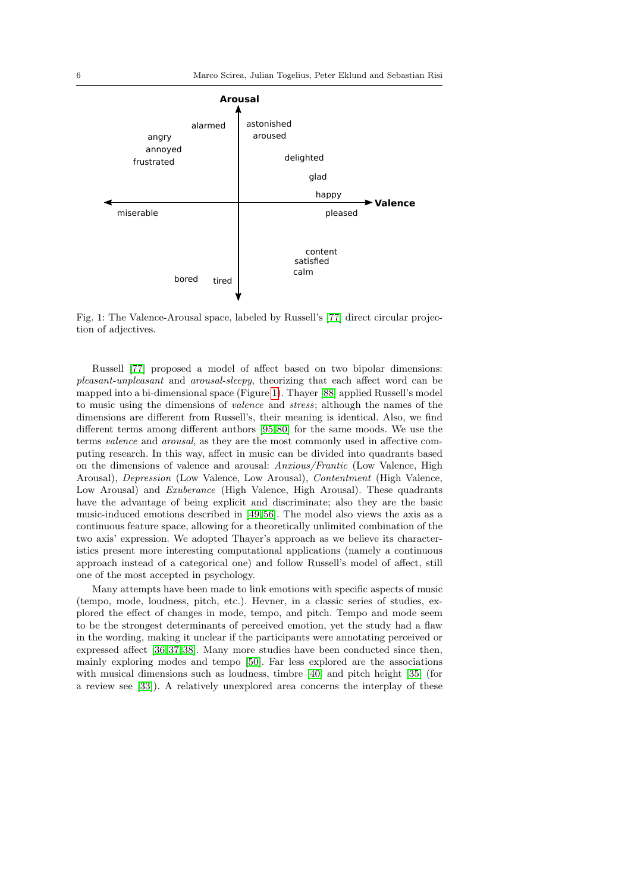<span id="page-5-0"></span>

Fig. 1: The Valence-Arousal space, labeled by Russell's [\[77\]](#page-30-20) direct circular projection of adjectives.

Russell [\[77\]](#page-30-20) proposed a model of affect based on two bipolar dimensions: pleasant-unpleasant and arousal-sleepy, theorizing that each affect word can be mapped into a bi-dimensional space (Figure [1\)](#page-5-0). Thayer [\[88\]](#page-31-5) applied Russell's model to music using the dimensions of valence and stress; although the names of the dimensions are different from Russell's, their meaning is identical. Also, we find different terms among different authors [\[95,](#page-31-6) [80\]](#page-30-18) for the same moods. We use the terms valence and arousal, as they are the most commonly used in affective computing research. In this way, affect in music can be divided into quadrants based on the dimensions of valence and arousal: Anxious/Frantic (Low Valence, High Arousal), Depression (Low Valence, Low Arousal), Contentment (High Valence, Low Arousal) and *Exuberance* (High Valence, High Arousal). These quadrants have the advantage of being explicit and discriminate; also they are the basic music-induced emotions described in [\[49,](#page-29-10) [56\]](#page-29-11). The model also views the axis as a continuous feature space, allowing for a theoretically unlimited combination of the two axis' expression. We adopted Thayer's approach as we believe its characteristics present more interesting computational applications (namely a continuous approach instead of a categorical one) and follow Russell's model of affect, still one of the most accepted in psychology.

Many attempts have been made to link emotions with specific aspects of music (tempo, mode, loudness, pitch, etc.). Hevner, in a classic series of studies, explored the effect of changes in mode, tempo, and pitch. Tempo and mode seem to be the strongest determinants of perceived emotion, yet the study had a flaw in the wording, making it unclear if the participants were annotating perceived or expressed affect [\[36,](#page-29-12) [37,](#page-29-9) [38\]](#page-29-13). Many more studies have been conducted since then, mainly exploring modes and tempo [\[50\]](#page-29-14). Far less explored are the associations with musical dimensions such as loudness, timbre [\[40\]](#page-29-15) and pitch height [\[35\]](#page-29-16) (for a review see [\[33\]](#page-29-17)). A relatively unexplored area concerns the interplay of these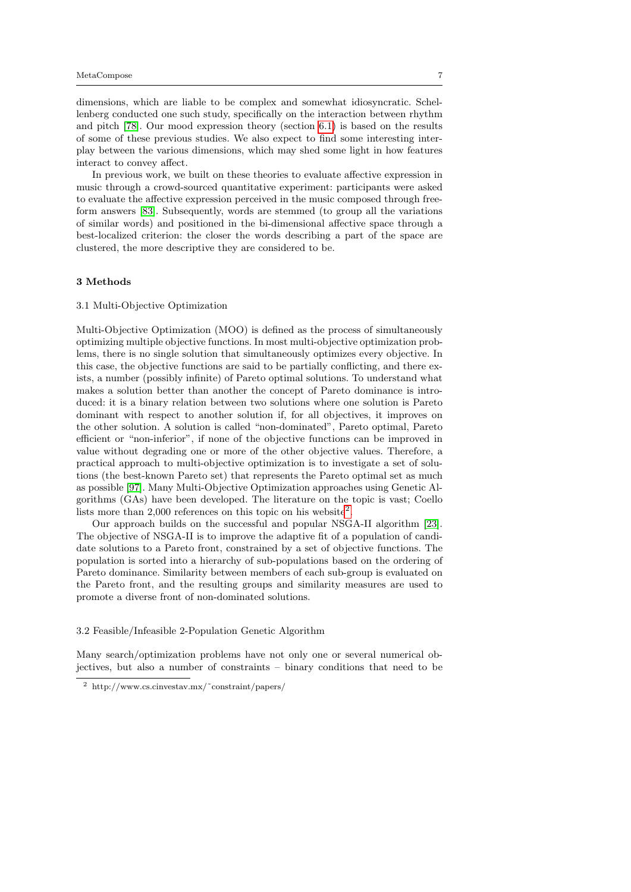dimensions, which are liable to be complex and somewhat idiosyncratic. Schellenberg conducted one such study, specifically on the interaction between rhythm and pitch [\[78\]](#page-30-21). Our mood expression theory (section [6.1\)](#page-15-1) is based on the results of some of these previous studies. We also expect to find some interesting interplay between the various dimensions, which may shed some light in how features interact to convey affect.

In previous work, we built on these theories to evaluate affective expression in music through a crowd-sourced quantitative experiment: participants were asked to evaluate the affective expression perceived in the music composed through freeform answers [\[83\]](#page-30-22). Subsequently, words are stemmed (to group all the variations of similar words) and positioned in the bi-dimensional affective space through a best-localized criterion: the closer the words describing a part of the space are clustered, the more descriptive they are considered to be.

#### <span id="page-6-0"></span>3 Methods

# 3.1 Multi-Objective Optimization

Multi-Objective Optimization (MOO) is defined as the process of simultaneously optimizing multiple objective functions. In most multi-objective optimization problems, there is no single solution that simultaneously optimizes every objective. In this case, the objective functions are said to be partially conflicting, and there exists, a number (possibly infinite) of Pareto optimal solutions. To understand what makes a solution better than another the concept of Pareto dominance is introduced: it is a binary relation between two solutions where one solution is Pareto dominant with respect to another solution if, for all objectives, it improves on the other solution. A solution is called "non-dominated", Pareto optimal, Pareto efficient or "non-inferior", if none of the objective functions can be improved in value without degrading one or more of the other objective values. Therefore, a practical approach to multi-objective optimization is to investigate a set of solutions (the best-known Pareto set) that represents the Pareto optimal set as much as possible [\[97\]](#page-31-7). Many Multi-Objective Optimization approaches using Genetic Algorithms (GAs) have been developed. The literature on the topic is vast; Coello lists more than [2](#page-6-1),000 references on this topic on his website<sup>2</sup>.

Our approach builds on the successful and popular NSGA-II algorithm [\[23\]](#page-28-20). The objective of NSGA-II is to improve the adaptive fit of a population of candidate solutions to a Pareto front, constrained by a set of objective functions. The population is sorted into a hierarchy of sub-populations based on the ordering of Pareto dominance. Similarity between members of each sub-group is evaluated on the Pareto front, and the resulting groups and similarity measures are used to promote a diverse front of non-dominated solutions.

3.2 Feasible/Infeasible 2-Population Genetic Algorithm

Many search/optimization problems have not only one or several numerical objectives, but also a number of constraints – binary conditions that need to be

<span id="page-6-1"></span><sup>2</sup> http://www.cs.cinvestav.mx/˜constraint/papers/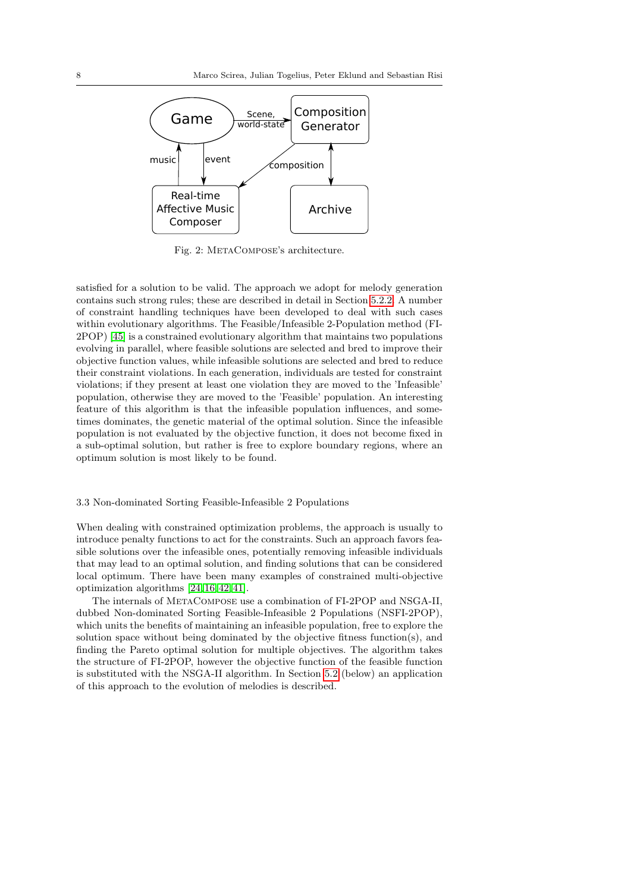<span id="page-7-0"></span>

Fig. 2: METACOMPOSE's architecture.

satisfied for a solution to be valid. The approach we adopt for melody generation contains such strong rules; these are described in detail in Section [5.2.2.](#page-11-0) A number of constraint handling techniques have been developed to deal with such cases within evolutionary algorithms. The Feasible/Infeasible 2-Population method (FI-2POP) [\[45\]](#page-29-18) is a constrained evolutionary algorithm that maintains two populations evolving in parallel, where feasible solutions are selected and bred to improve their objective function values, while infeasible solutions are selected and bred to reduce their constraint violations. In each generation, individuals are tested for constraint violations; if they present at least one violation they are moved to the 'Infeasible' population, otherwise they are moved to the 'Feasible' population. An interesting feature of this algorithm is that the infeasible population influences, and sometimes dominates, the genetic material of the optimal solution. Since the infeasible population is not evaluated by the objective function, it does not become fixed in a sub-optimal solution, but rather is free to explore boundary regions, where an optimum solution is most likely to be found.

# 3.3 Non-dominated Sorting Feasible-Infeasible 2 Populations

When dealing with constrained optimization problems, the approach is usually to introduce penalty functions to act for the constraints. Such an approach favors feasible solutions over the infeasible ones, potentially removing infeasible individuals that may lead to an optimal solution, and finding solutions that can be considered local optimum. There have been many examples of constrained multi-objective optimization algorithms [\[24,](#page-28-21) [16,](#page-28-22)[42,](#page-29-19) [41\]](#page-29-20).

The internals of MetaCompose use a combination of FI-2POP and NSGA-II, dubbed Non-dominated Sorting Feasible-Infeasible 2 Populations (NSFI-2POP), which units the benefits of maintaining an infeasible population, free to explore the solution space without being dominated by the objective fitness function(s), and finding the Pareto optimal solution for multiple objectives. The algorithm takes the structure of FI-2POP, however the objective function of the feasible function is substituted with the NSGA-II algorithm. In Section [5.2](#page-10-0) (below) an application of this approach to the evolution of melodies is described.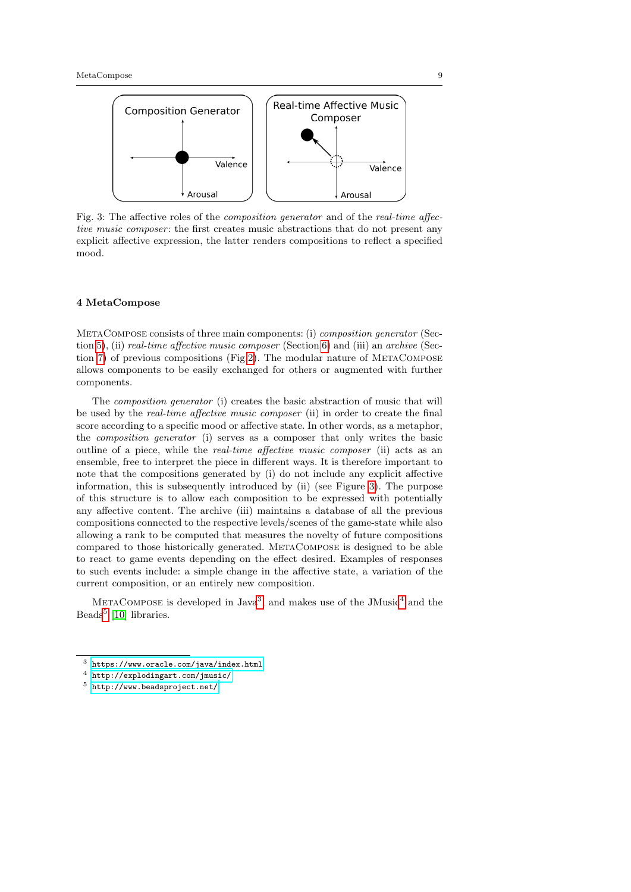<span id="page-8-1"></span>

Fig. 3: The affective roles of the composition generator and of the real-time affective music composer; the first creates music abstractions that do not present any explicit affective expression, the latter renders compositions to reflect a specified mood.

## <span id="page-8-0"></span>4 MetaCompose

MetaCompose consists of three main components: (i) composition generator (Sec-tion [5\)](#page-9-0), (ii) *real-time affective music composer* (Section [6\)](#page-15-0) and (iii) an *archive* (Sec-tion [7\)](#page-17-0) of previous compositions (Fig[.2\)](#page-7-0). The modular nature of METACOMPOSE allows components to be easily exchanged for others or augmented with further components.

The *composition generator* (i) creates the basic abstraction of music that will be used by the real-time affective music composer (ii) in order to create the final score according to a specific mood or affective state. In other words, as a metaphor, the composition generator (i) serves as a composer that only writes the basic outline of a piece, while the real-time affective music composer (ii) acts as an ensemble, free to interpret the piece in different ways. It is therefore important to note that the compositions generated by (i) do not include any explicit affective information, this is subsequently introduced by (ii) (see Figure [3\)](#page-8-1). The purpose of this structure is to allow each composition to be expressed with potentially any affective content. The archive (iii) maintains a database of all the previous compositions connected to the respective levels/scenes of the game-state while also allowing a rank to be computed that measures the novelty of future compositions compared to those historically generated. MetaCompose is designed to be able to react to game events depending on the effect desired. Examples of responses to such events include: a simple change in the affective state, a variation of the current composition, or an entirely new composition.

METACOMPOSE is developed in Java<sup>[3](#page-8-2)</sup>, and makes use of the JMusic<sup>[4](#page-8-3)</sup> and the Beads<sup>[5](#page-8-4)</sup> [\[10\]](#page-28-23) libraries.

<span id="page-8-2"></span><sup>3</sup> <https://www.oracle.com/java/index.html>

<span id="page-8-3"></span><sup>4</sup> <http://explodingart.com/jmusic/>

<span id="page-8-4"></span><sup>5</sup> <http://www.beadsproject.net/>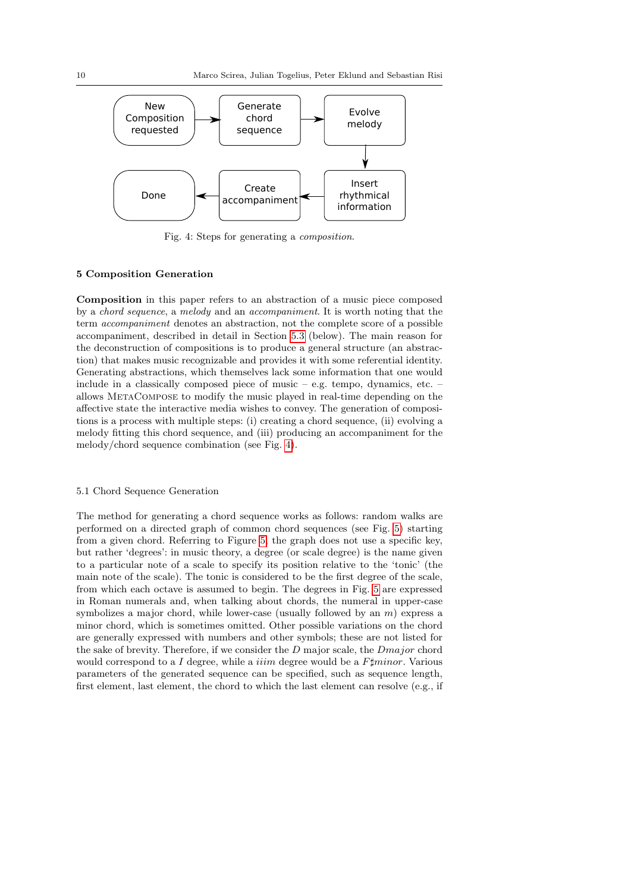<span id="page-9-1"></span>

Fig. 4: Steps for generating a composition.

# <span id="page-9-0"></span>5 Composition Generation

Composition in this paper refers to an abstraction of a music piece composed by a chord sequence, a melody and an accompaniment. It is worth noting that the term accompaniment denotes an abstraction, not the complete score of a possible accompaniment, described in detail in Section [5.3](#page-13-0) (below). The main reason for the deconstruction of compositions is to produce a general structure (an abstraction) that makes music recognizable and provides it with some referential identity. Generating abstractions, which themselves lack some information that one would include in a classically composed piece of music – e.g. tempo, dynamics, etc. – allows MetaCompose to modify the music played in real-time depending on the affective state the interactive media wishes to convey. The generation of compositions is a process with multiple steps: (i) creating a chord sequence, (ii) evolving a melody fitting this chord sequence, and (iii) producing an accompaniment for the melody/chord sequence combination (see Fig. [4\)](#page-9-1).

# 5.1 Chord Sequence Generation

The method for generating a chord sequence works as follows: random walks are performed on a directed graph of common chord sequences (see Fig. [5\)](#page-10-1) starting from a given chord. Referring to Figure [5,](#page-10-1) the graph does not use a specific key, but rather 'degrees': in music theory, a degree (or scale degree) is the name given to a particular note of a scale to specify its position relative to the 'tonic' (the main note of the scale). The tonic is considered to be the first degree of the scale, from which each octave is assumed to begin. The degrees in Fig. [5](#page-10-1) are expressed in Roman numerals and, when talking about chords, the numeral in upper-case symbolizes a major chord, while lower-case (usually followed by an  $m$ ) express a minor chord, which is sometimes omitted. Other possible variations on the chord are generally expressed with numbers and other symbols; these are not listed for the sake of brevity. Therefore, if we consider the D major scale, the Dmajor chord would correspond to a I degree, while a *iiim* degree would be a  $F \sharp minor$ . Various parameters of the generated sequence can be specified, such as sequence length, first element, last element, the chord to which the last element can resolve (e.g., if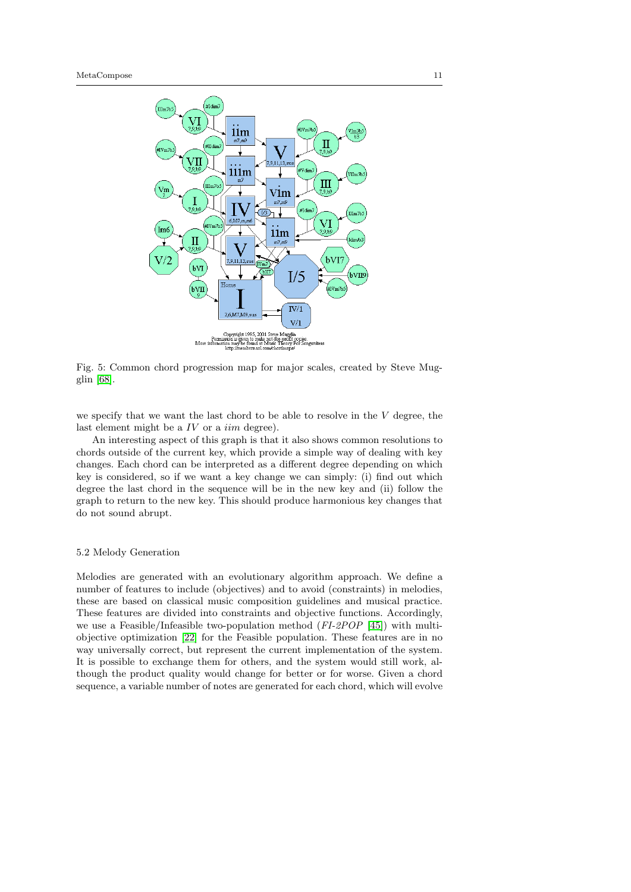<span id="page-10-1"></span>

Fig. 5: Common chord progression map for major scales, created by Steve Mugglin [\[68\]](#page-30-23).

we specify that we want the last chord to be able to resolve in the V degree, the last element might be a  $IV$  or a  $\lim$  degree).

An interesting aspect of this graph is that it also shows common resolutions to chords outside of the current key, which provide a simple way of dealing with key changes. Each chord can be interpreted as a different degree depending on which key is considered, so if we want a key change we can simply: (i) find out which degree the last chord in the sequence will be in the new key and (ii) follow the graph to return to the new key. This should produce harmonious key changes that do not sound abrupt.

# <span id="page-10-0"></span>5.2 Melody Generation

Melodies are generated with an evolutionary algorithm approach. We define a number of features to include (objectives) and to avoid (constraints) in melodies, these are based on classical music composition guidelines and musical practice. These features are divided into constraints and objective functions. Accordingly, we use a Feasible/Infeasible two-population method (FI-2POP [\[45\]](#page-29-18)) with multiobjective optimization [\[22\]](#page-28-24) for the Feasible population. These features are in no way universally correct, but represent the current implementation of the system. It is possible to exchange them for others, and the system would still work, although the product quality would change for better or for worse. Given a chord sequence, a variable number of notes are generated for each chord, which will evolve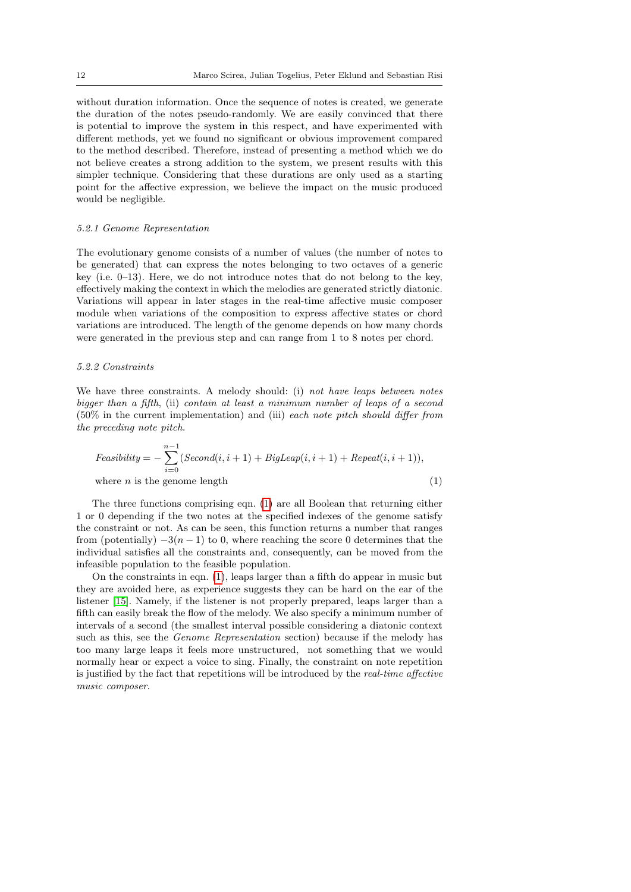without duration information. Once the sequence of notes is created, we generate the duration of the notes pseudo-randomly. We are easily convinced that there is potential to improve the system in this respect, and have experimented with different methods, yet we found no significant or obvious improvement compared to the method described. Therefore, instead of presenting a method which we do not believe creates a strong addition to the system, we present results with this simpler technique. Considering that these durations are only used as a starting point for the affective expression, we believe the impact on the music produced would be negligible.

# 5.2.1 Genome Representation

The evolutionary genome consists of a number of values (the number of notes to be generated) that can express the notes belonging to two octaves of a generic key (i.e.  $0-13$ ). Here, we do not introduce notes that do not belong to the key, effectively making the context in which the melodies are generated strictly diatonic. Variations will appear in later stages in the real-time affective music composer module when variations of the composition to express affective states or chord variations are introduced. The length of the genome depends on how many chords were generated in the previous step and can range from 1 to 8 notes per chord.

## <span id="page-11-0"></span>5.2.2 Constraints

We have three constraints. A melody should: (i) not have leaps between notes bigger than a fifth, (ii) contain at least a minimum number of leaps of a second (50% in the current implementation) and (iii) each note pitch should differ from the preceding note pitch.

<span id="page-11-1"></span>
$$
Feasibility = -\sum_{i=0}^{n-1} (Second(i, i+1) + BigLeaf(i, i+1) + Repeat(i, i+1)),
$$
  
where *n* is the genome length (1)

The three functions comprising eqn. [\(1\)](#page-11-1) are all Boolean that returning either 1 or 0 depending if the two notes at the specified indexes of the genome satisfy the constraint or not. As can be seen, this function returns a number that ranges from (potentially)  $-3(n-1)$  to 0, where reaching the score 0 determines that the individual satisfies all the constraints and, consequently, can be moved from the infeasible population to the feasible population.

On the constraints in eqn. [\(1\)](#page-11-1), leaps larger than a fifth do appear in music but they are avoided here, as experience suggests they can be hard on the ear of the listener [\[15\]](#page-28-25). Namely, if the listener is not properly prepared, leaps larger than a fifth can easily break the flow of the melody. We also specify a minimum number of intervals of a second (the smallest interval possible considering a diatonic context such as this, see the Genome Representation section) because if the melody has too many large leaps it feels more unstructured, not something that we would normally hear or expect a voice to sing. Finally, the constraint on note repetition is justified by the fact that repetitions will be introduced by the real-time affective music composer.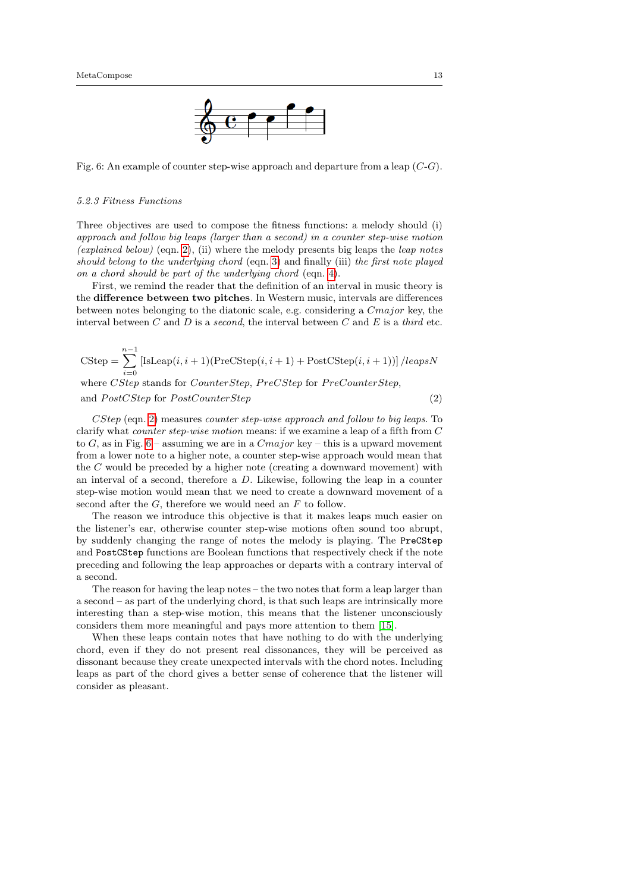

<span id="page-12-1"></span>Fig. 6: An example of counter step-wise approach and departure from a leap (C-G).

## 5.2.3 Fitness Functions

Three objectives are used to compose the fitness functions: a melody should (i) approach and follow big leaps (larger than a second) in a counter step-wise motion (explained below) (eqn. [2\)](#page-12-0), (ii) where the melody presents big leaps the *leap notes* should belong to the underlying chord (eqn. [3\)](#page-13-1) and finally (iii) the first note played on a chord should be part of the underlying chord (eqn. [4\)](#page-13-2).

First, we remind the reader that the definition of an interval in music theory is the difference between two pitches. In Western music, intervals are differences between notes belonging to the diatonic scale, e.g. considering a Cmajor key, the interval between  $C$  and  $D$  is a second, the interval between  $C$  and  $E$  is a third etc.

<span id="page-12-0"></span>
$$
CStep = \sum_{i=0}^{n-1} [IsLeap(i, i+1)(PreCStep(i, i+1) + PostCStep(i, i+1))]/leapsN
$$
  
where *CStep* stands for *CounterStep*, *PreCStep* for *PreCounterStep*,  
and *PostCStep* for *PostCounterStep* (2)

CStep (eqn. [2\)](#page-12-0) measures counter step-wise approach and follow to big leaps. To clarify what counter step-wise motion means: if we examine a leap of a fifth from C to G, as in Fig.  $6$  – assuming we are in a  $Cmajor$  key – this is a upward movement from a lower note to a higher note, a counter step-wise approach would mean that the  $C$  would be preceded by a higher note (creating a downward movement) with an interval of a second, therefore a D. Likewise, following the leap in a counter step-wise motion would mean that we need to create a downward movement of a second after the  $G$ , therefore we would need an  $F$  to follow.

The reason we introduce this objective is that it makes leaps much easier on the listener's ear, otherwise counter step-wise motions often sound too abrupt, by suddenly changing the range of notes the melody is playing. The PreCStep and PostCStep functions are Boolean functions that respectively check if the note preceding and following the leap approaches or departs with a contrary interval of a second.

The reason for having the leap notes – the two notes that form a leap larger than a second – as part of the underlying chord, is that such leaps are intrinsically more interesting than a step-wise motion, this means that the listener unconsciously considers them more meaningful and pays more attention to them [\[15\]](#page-28-25).

When these leaps contain notes that have nothing to do with the underlying chord, even if they do not present real dissonances, they will be perceived as dissonant because they create unexpected intervals with the chord notes. Including leaps as part of the chord gives a better sense of coherence that the listener will consider as pleasant.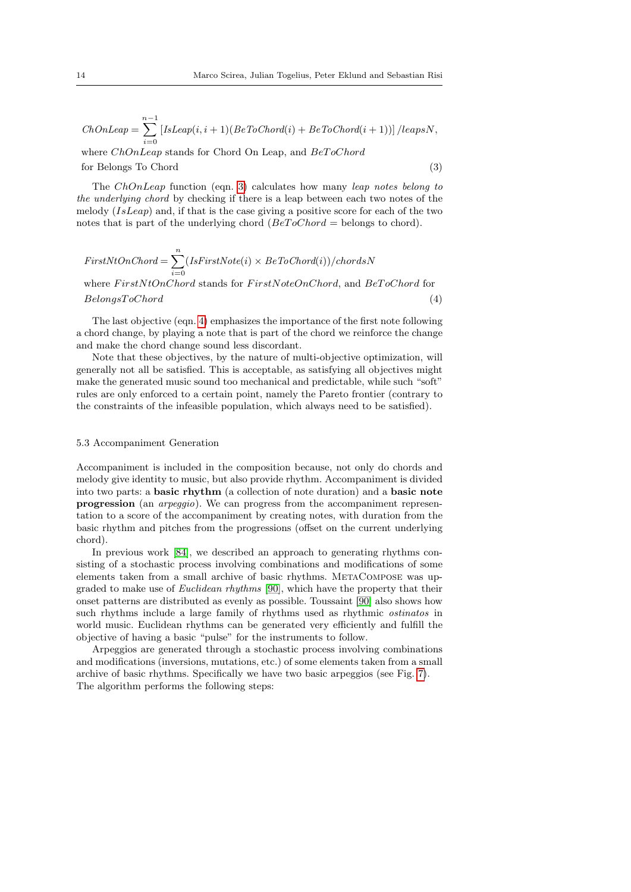ChOnLeap = 
$$
\sum_{i=0}^{n-1} [IsLeap(i, i+1)(BeToChord(i) + BeToChord(i+1))]/leapsN,
$$
  
where *ChOnLeap* stands for Chord On Leap, and *BeToChord*

<span id="page-13-1"></span>for Belongs To Chord (3)

The ChOnLeap function (eqn. [3\)](#page-13-1) calculates how many leap notes belong to the underlying chord by checking if there is a leap between each two notes of the melody  $(IsLeap)$  and, if that is the case giving a positive score for each of the two notes that is part of the underlying chord ( $BeToChord =$  belongs to chord).

<span id="page-13-2"></span>
$$
First NtOnChord = \sum_{i=0}^{n} (IsFirst Note(i) \times BeToChord(i))/chordsN
$$
  
where  $First NtOnChord$  stands for  $FirstNoteOnChord$ , and  $BeToChord$  for  
 $BelongsToChord$  (4)

The last objective (eqn. [4\)](#page-13-2) emphasizes the importance of the first note following a chord change, by playing a note that is part of the chord we reinforce the change and make the chord change sound less discordant.

Note that these objectives, by the nature of multi-objective optimization, will generally not all be satisfied. This is acceptable, as satisfying all objectives might make the generated music sound too mechanical and predictable, while such "soft" rules are only enforced to a certain point, namely the Pareto frontier (contrary to the constraints of the infeasible population, which always need to be satisfied).

## <span id="page-13-0"></span>5.3 Accompaniment Generation

Accompaniment is included in the composition because, not only do chords and melody give identity to music, but also provide rhythm. Accompaniment is divided into two parts: a basic rhythm (a collection of note duration) and a basic note progression (an arpeggio). We can progress from the accompaniment representation to a score of the accompaniment by creating notes, with duration from the basic rhythm and pitches from the progressions (offset on the current underlying chord).

In previous work [\[84\]](#page-30-6), we described an approach to generating rhythms consisting of a stochastic process involving combinations and modifications of some elements taken from a small archive of basic rhythms. MetaCompose was upgraded to make use of Euclidean rhythms [\[90\]](#page-31-8), which have the property that their onset patterns are distributed as evenly as possible. Toussaint [\[90\]](#page-31-8) also shows how such rhythms include a large family of rhythms used as rhythmic *ostinatos* in world music. Euclidean rhythms can be generated very efficiently and fulfill the objective of having a basic "pulse" for the instruments to follow.

Arpeggios are generated through a stochastic process involving combinations and modifications (inversions, mutations, etc.) of some elements taken from a small archive of basic rhythms. Specifically we have two basic arpeggios (see Fig. [7\)](#page-14-0). The algorithm performs the following steps: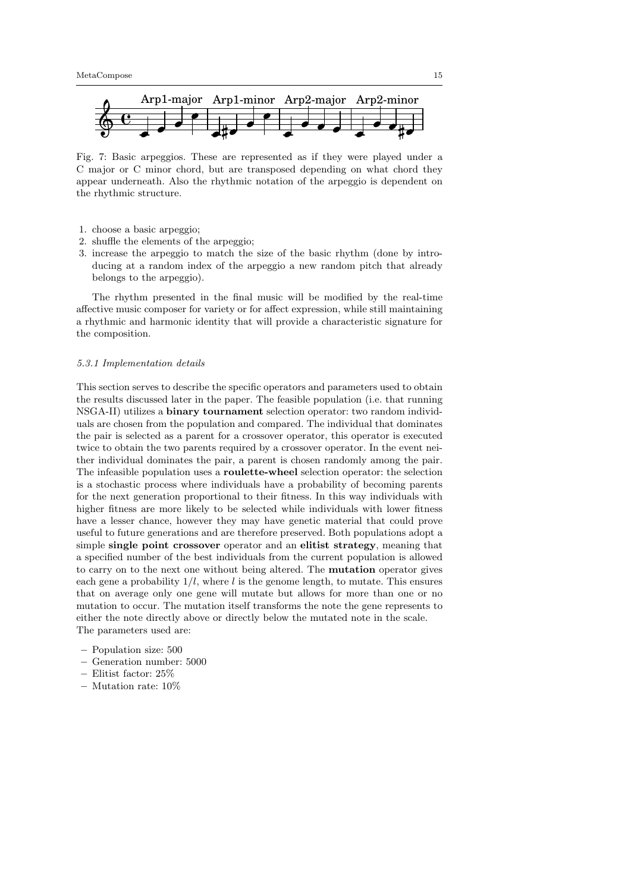<span id="page-14-0"></span>

Fig. 7: Basic arpeggios. These are represented as if they were played under a C major or C minor chord, but are transposed depending on what chord they appear underneath. Also the rhythmic notation of the arpeggio is dependent on the rhythmic structure.

- 1. choose a basic arpeggio;
- 2. shuffle the elements of the arpeggio;
- 3. increase the arpeggio to match the size of the basic rhythm (done by introducing at a random index of the arpeggio a new random pitch that already belongs to the arpeggio).

The rhythm presented in the final music will be modified by the real-time affective music composer for variety or for affect expression, while still maintaining a rhythmic and harmonic identity that will provide a characteristic signature for the composition.

#### 5.3.1 Implementation details

This section serves to describe the specific operators and parameters used to obtain the results discussed later in the paper. The feasible population (i.e. that running NSGA-II) utilizes a binary tournament selection operator: two random individuals are chosen from the population and compared. The individual that dominates the pair is selected as a parent for a crossover operator, this operator is executed twice to obtain the two parents required by a crossover operator. In the event neither individual dominates the pair, a parent is chosen randomly among the pair. The infeasible population uses a roulette-wheel selection operator: the selection is a stochastic process where individuals have a probability of becoming parents for the next generation proportional to their fitness. In this way individuals with higher fitness are more likely to be selected while individuals with lower fitness have a lesser chance, however they may have genetic material that could prove useful to future generations and are therefore preserved. Both populations adopt a simple single point crossover operator and an elitist strategy, meaning that a specified number of the best individuals from the current population is allowed to carry on to the next one without being altered. The mutation operator gives each gene a probability  $1/l$ , where l is the genome length, to mutate. This ensures that on average only one gene will mutate but allows for more than one or no mutation to occur. The mutation itself transforms the note the gene represents to either the note directly above or directly below the mutated note in the scale. The parameters used are:

- Population size: 500
- Generation number: 5000
- Elitist factor: 25%
- Mutation rate: 10%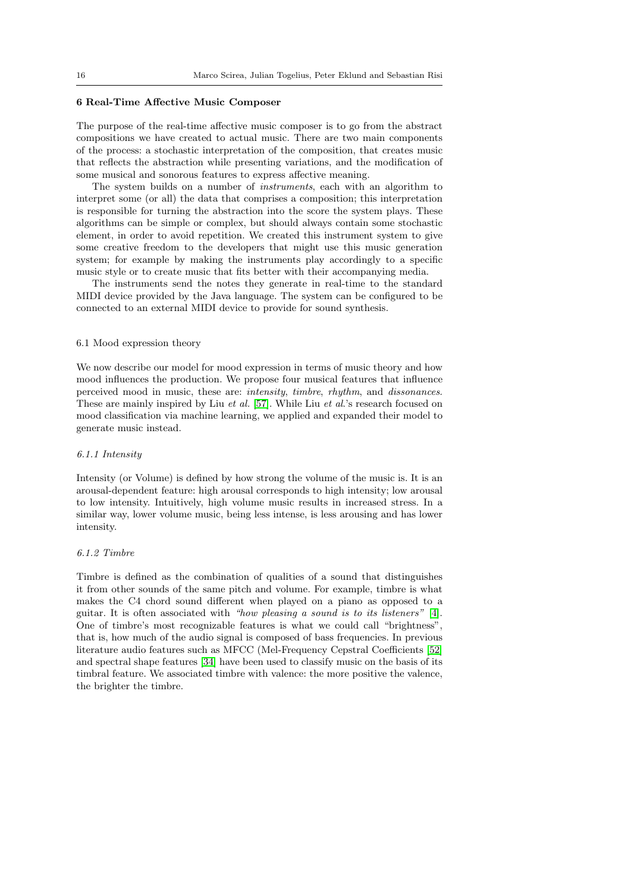# <span id="page-15-0"></span>6 Real-Time Affective Music Composer

The purpose of the real-time affective music composer is to go from the abstract compositions we have created to actual music. There are two main components of the process: a stochastic interpretation of the composition, that creates music that reflects the abstraction while presenting variations, and the modification of some musical and sonorous features to express affective meaning.

The system builds on a number of instruments, each with an algorithm to interpret some (or all) the data that comprises a composition; this interpretation is responsible for turning the abstraction into the score the system plays. These algorithms can be simple or complex, but should always contain some stochastic element, in order to avoid repetition. We created this instrument system to give some creative freedom to the developers that might use this music generation system; for example by making the instruments play accordingly to a specific music style or to create music that fits better with their accompanying media.

The instruments send the notes they generate in real-time to the standard MIDI device provided by the Java language. The system can be configured to be connected to an external MIDI device to provide for sound synthesis.

## <span id="page-15-1"></span>6.1 Mood expression theory

We now describe our model for mood expression in terms of music theory and how mood influences the production. We propose four musical features that influence perceived mood in music, these are: intensity, timbre, rhythm, and dissonances. These are mainly inspired by Liu *et al.* [\[57\]](#page-29-21). While Liu *et al.*'s research focused on mood classification via machine learning, we applied and expanded their model to generate music instead.

#### 6.1.1 Intensity

Intensity (or Volume) is defined by how strong the volume of the music is. It is an arousal-dependent feature: high arousal corresponds to high intensity; low arousal to low intensity. Intuitively, high volume music results in increased stress. In a similar way, lower volume music, being less intense, is less arousing and has lower intensity.

# 6.1.2 Timbre

Timbre is defined as the combination of qualities of a sound that distinguishes it from other sounds of the same pitch and volume. For example, timbre is what makes the C4 chord sound different when played on a piano as opposed to a guitar. It is often associated with "how pleasing a sound is to its listeners" [\[4\]](#page-27-3). One of timbre's most recognizable features is what we could call "brightness", that is, how much of the audio signal is composed of bass frequencies. In previous literature audio features such as MFCC (Mel-Frequency Cepstral Coefficients [\[52\]](#page-29-22) and spectral shape features [\[34\]](#page-29-23) have been used to classify music on the basis of its timbral feature. We associated timbre with valence: the more positive the valence, the brighter the timbre.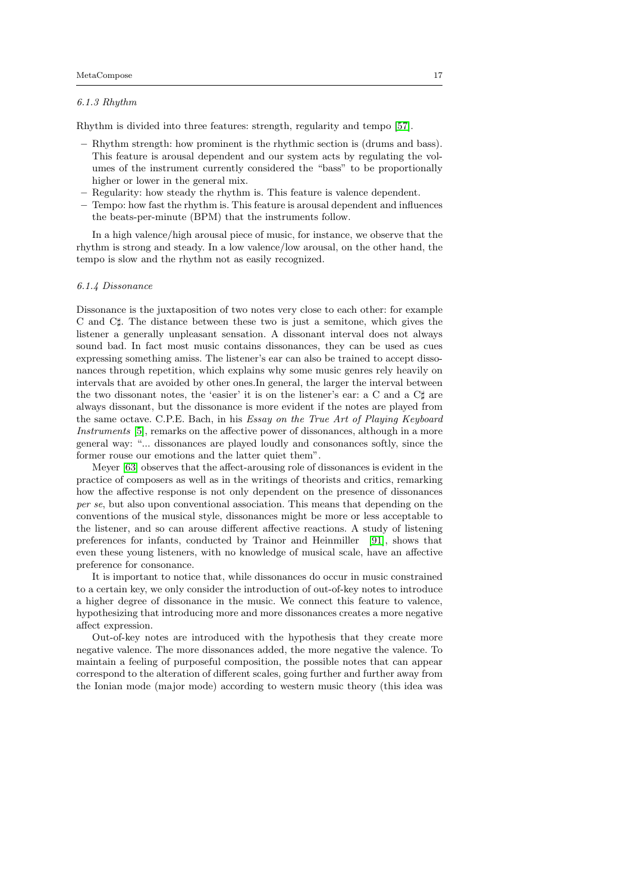## 6.1.3 Rhythm

Rhythm is divided into three features: strength, regularity and tempo [\[57\]](#page-29-21).

- Rhythm strength: how prominent is the rhythmic section is (drums and bass). This feature is arousal dependent and our system acts by regulating the volumes of the instrument currently considered the "bass" to be proportionally higher or lower in the general mix.
- Regularity: how steady the rhythm is. This feature is valence dependent.
- Tempo: how fast the rhythm is. This feature is arousal dependent and influences the beats-per-minute (BPM) that the instruments follow.

In a high valence/high arousal piece of music, for instance, we observe that the rhythm is strong and steady. In a low valence/low arousal, on the other hand, the tempo is slow and the rhythm not as easily recognized.

# 6.1.4 Dissonance

Dissonance is the juxtaposition of two notes very close to each other: for example C and C]. The distance between these two is just a semitone, which gives the listener a generally unpleasant sensation. A dissonant interval does not always sound bad. In fact most music contains dissonances, they can be used as cues expressing something amiss. The listener's ear can also be trained to accept dissonances through repetition, which explains why some music genres rely heavily on intervals that are avoided by other ones.In general, the larger the interval between the two dissonant notes, the 'easier' it is on the listener's ear: a C and a  $C\sharp$  are always dissonant, but the dissonance is more evident if the notes are played from the same octave. C.P.E. Bach, in his Essay on the True Art of Playing Keyboard Instruments [\[5\]](#page-28-26), remarks on the affective power of dissonances, although in a more general way: "... dissonances are played loudly and consonances softly, since the former rouse our emotions and the latter quiet them".

Meyer [\[63\]](#page-30-24) observes that the affect-arousing role of dissonances is evident in the practice of composers as well as in the writings of theorists and critics, remarking how the affective response is not only dependent on the presence of dissonances per se, but also upon conventional association. This means that depending on the conventions of the musical style, dissonances might be more or less acceptable to the listener, and so can arouse different affective reactions. A study of listening preferences for infants, conducted by Trainor and Heinmiller [\[91\]](#page-31-9), shows that even these young listeners, with no knowledge of musical scale, have an affective preference for consonance.

It is important to notice that, while dissonances do occur in music constrained to a certain key, we only consider the introduction of out-of-key notes to introduce a higher degree of dissonance in the music. We connect this feature to valence, hypothesizing that introducing more and more dissonances creates a more negative affect expression.

Out-of-key notes are introduced with the hypothesis that they create more negative valence. The more dissonances added, the more negative the valence. To maintain a feeling of purposeful composition, the possible notes that can appear correspond to the alteration of different scales, going further and further away from the Ionian mode (major mode) according to western music theory (this idea was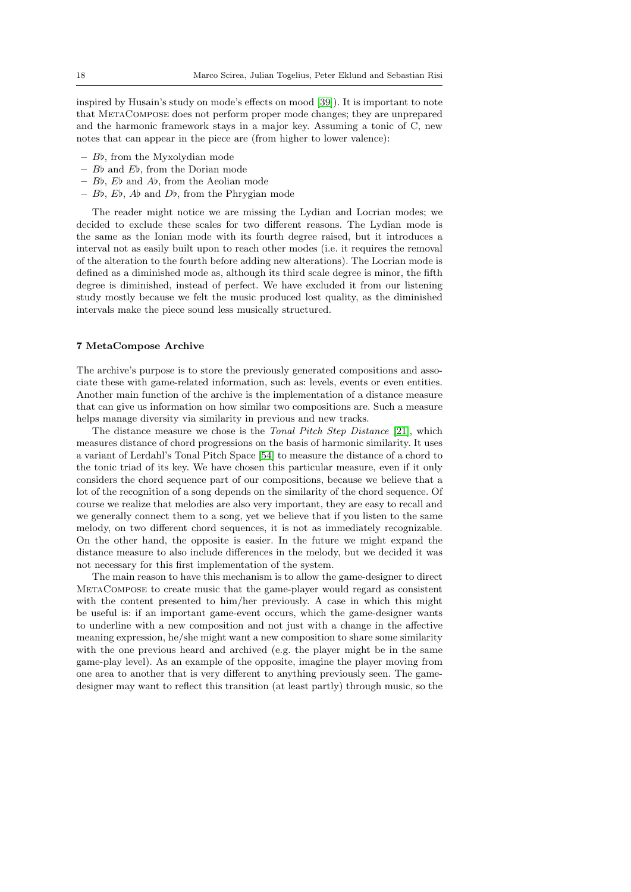inspired by Husain's study on mode's effects on mood [\[39\]](#page-29-24)). It is important to note that MetaCompose does not perform proper mode changes; they are unprepared and the harmonic framework stays in a major key. Assuming a tonic of C, new notes that can appear in the piece are (from higher to lower valence):

- $-$  Bb, from the Myxolydian mode
- $B\flat$  and  $E\flat$ , from the Dorian mode
- $B$ ,  $E$  and  $A$ , from the Aeolian mode
- Bb, Eb, Ab and Db, from the Phrygian mode

The reader might notice we are missing the Lydian and Locrian modes; we decided to exclude these scales for two different reasons. The Lydian mode is the same as the Ionian mode with its fourth degree raised, but it introduces a interval not as easily built upon to reach other modes (i.e. it requires the removal of the alteration to the fourth before adding new alterations). The Locrian mode is defined as a diminished mode as, although its third scale degree is minor, the fifth degree is diminished, instead of perfect. We have excluded it from our listening study mostly because we felt the music produced lost quality, as the diminished intervals make the piece sound less musically structured.

## <span id="page-17-0"></span>7 MetaCompose Archive

The archive's purpose is to store the previously generated compositions and associate these with game-related information, such as: levels, events or even entities. Another main function of the archive is the implementation of a distance measure that can give us information on how similar two compositions are. Such a measure helps manage diversity via similarity in previous and new tracks.

The distance measure we chose is the *Tonal Pitch Step Distance* [\[21\]](#page-28-27), which measures distance of chord progressions on the basis of harmonic similarity. It uses a variant of Lerdahl's Tonal Pitch Space [\[54\]](#page-29-25) to measure the distance of a chord to the tonic triad of its key. We have chosen this particular measure, even if it only considers the chord sequence part of our compositions, because we believe that a lot of the recognition of a song depends on the similarity of the chord sequence. Of course we realize that melodies are also very important, they are easy to recall and we generally connect them to a song, yet we believe that if you listen to the same melody, on two different chord sequences, it is not as immediately recognizable. On the other hand, the opposite is easier. In the future we might expand the distance measure to also include differences in the melody, but we decided it was not necessary for this first implementation of the system.

The main reason to have this mechanism is to allow the game-designer to direct MetaCompose to create music that the game-player would regard as consistent with the content presented to him/her previously. A case in which this might be useful is: if an important game-event occurs, which the game-designer wants to underline with a new composition and not just with a change in the affective meaning expression, he/she might want a new composition to share some similarity with the one previous heard and archived (e.g. the player might be in the same game-play level). As an example of the opposite, imagine the player moving from one area to another that is very different to anything previously seen. The gamedesigner may want to reflect this transition (at least partly) through music, so the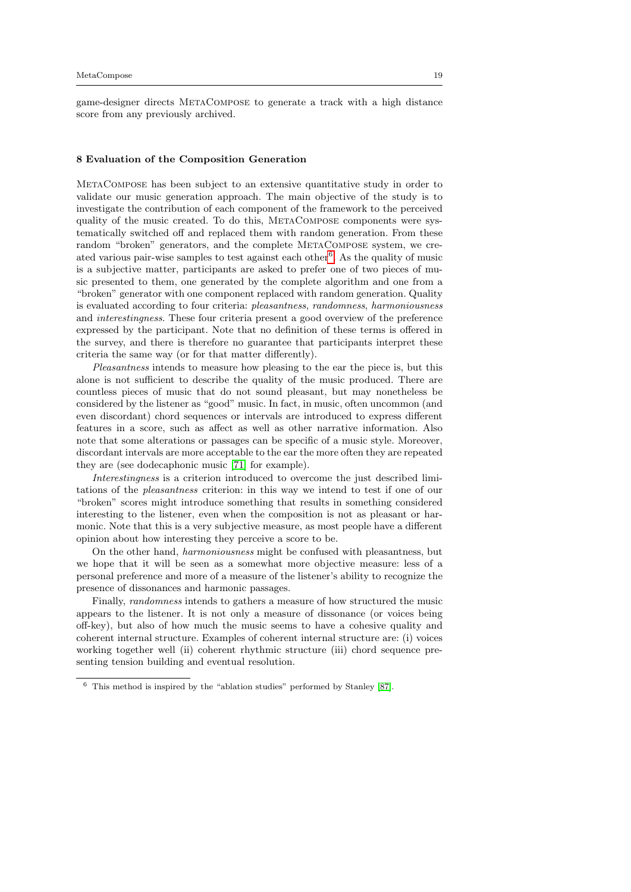game-designer directs MetaCompose to generate a track with a high distance score from any previously archived.

#### <span id="page-18-0"></span>8 Evaluation of the Composition Generation

MetaCompose has been subject to an extensive quantitative study in order to validate our music generation approach. The main objective of the study is to investigate the contribution of each component of the framework to the perceived quality of the music created. To do this, METACOMPOSE components were systematically switched off and replaced them with random generation. From these random "broken" generators, and the complete METACOMPOSE system, we cre-ated various pair-wise samples to test against each other<sup>[6](#page-18-1)</sup>. As the quality of music is a subjective matter, participants are asked to prefer one of two pieces of music presented to them, one generated by the complete algorithm and one from a "broken" generator with one component replaced with random generation. Quality is evaluated according to four criteria: pleasantness, randomness, harmoniousness and interestingness. These four criteria present a good overview of the preference expressed by the participant. Note that no definition of these terms is offered in the survey, and there is therefore no guarantee that participants interpret these criteria the same way (or for that matter differently).

Pleasantness intends to measure how pleasing to the ear the piece is, but this alone is not sufficient to describe the quality of the music produced. There are countless pieces of music that do not sound pleasant, but may nonetheless be considered by the listener as "good" music. In fact, in music, often uncommon (and even discordant) chord sequences or intervals are introduced to express different features in a score, such as affect as well as other narrative information. Also note that some alterations or passages can be specific of a music style. Moreover, discordant intervals are more acceptable to the ear the more often they are repeated they are (see dodecaphonic music [\[71\]](#page-30-25) for example).

Interestingness is a criterion introduced to overcome the just described limitations of the pleasantness criterion: in this way we intend to test if one of our "broken" scores might introduce something that results in something considered interesting to the listener, even when the composition is not as pleasant or harmonic. Note that this is a very subjective measure, as most people have a different opinion about how interesting they perceive a score to be.

On the other hand, harmoniousness might be confused with pleasantness, but we hope that it will be seen as a somewhat more objective measure: less of a personal preference and more of a measure of the listener's ability to recognize the presence of dissonances and harmonic passages.

Finally, randomness intends to gathers a measure of how structured the music appears to the listener. It is not only a measure of dissonance (or voices being off-key), but also of how much the music seems to have a cohesive quality and coherent internal structure. Examples of coherent internal structure are: (i) voices working together well (ii) coherent rhythmic structure (iii) chord sequence presenting tension building and eventual resolution.

<span id="page-18-1"></span><sup>6</sup> This method is inspired by the "ablation studies" performed by Stanley [\[87\]](#page-30-26).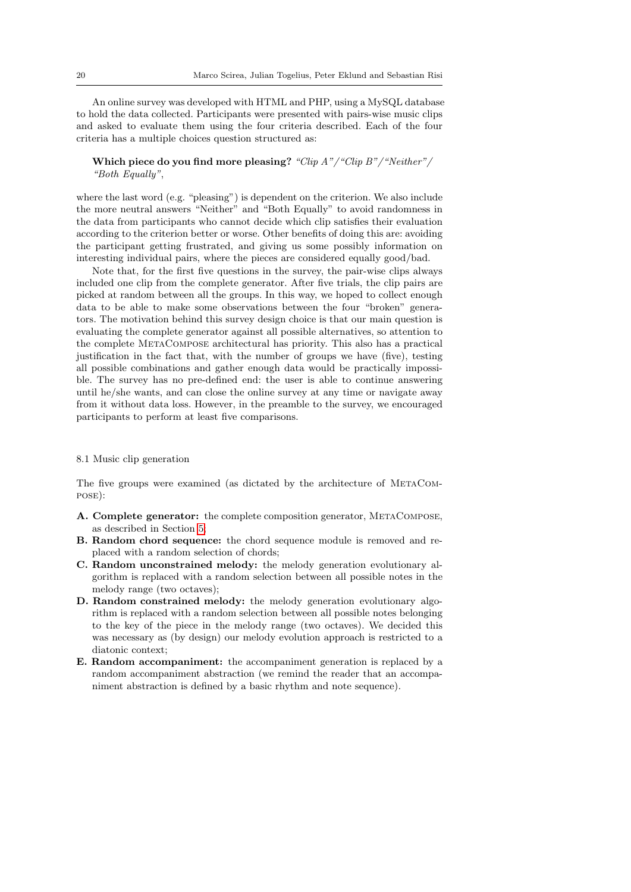An online survey was developed with HTML and PHP, using a MySQL database to hold the data collected. Participants were presented with pairs-wise music clips and asked to evaluate them using the four criteria described. Each of the four criteria has a multiple choices question structured as:

# Which piece do you find more pleasing? "Clip  $A$ "/"Clip  $B$ "/"Neither"/ "Both Equally",

where the last word (e.g. "pleasing") is dependent on the criterion. We also include the more neutral answers "Neither" and "Both Equally" to avoid randomness in the data from participants who cannot decide which clip satisfies their evaluation according to the criterion better or worse. Other benefits of doing this are: avoiding the participant getting frustrated, and giving us some possibly information on interesting individual pairs, where the pieces are considered equally good/bad.

Note that, for the first five questions in the survey, the pair-wise clips always included one clip from the complete generator. After five trials, the clip pairs are picked at random between all the groups. In this way, we hoped to collect enough data to be able to make some observations between the four "broken" generators. The motivation behind this survey design choice is that our main question is evaluating the complete generator against all possible alternatives, so attention to the complete MetaCompose architectural has priority. This also has a practical justification in the fact that, with the number of groups we have (five), testing all possible combinations and gather enough data would be practically impossible. The survey has no pre-defined end: the user is able to continue answering until he/she wants, and can close the online survey at any time or navigate away from it without data loss. However, in the preamble to the survey, we encouraged participants to perform at least five comparisons.

# 8.1 Music clip generation

The five groups were examined (as dictated by the architecture of MetaCompose):

- A. Complete generator: the complete composition generator, MetaCompose, as described in Section [5;](#page-9-0)
- B. Random chord sequence: the chord sequence module is removed and replaced with a random selection of chords;
- C. Random unconstrained melody: the melody generation evolutionary algorithm is replaced with a random selection between all possible notes in the melody range (two octaves);
- D. Random constrained melody: the melody generation evolutionary algorithm is replaced with a random selection between all possible notes belonging to the key of the piece in the melody range (two octaves). We decided this was necessary as (by design) our melody evolution approach is restricted to a diatonic context;
- E. Random accompaniment: the accompaniment generation is replaced by a random accompaniment abstraction (we remind the reader that an accompaniment abstraction is defined by a basic rhythm and note sequence).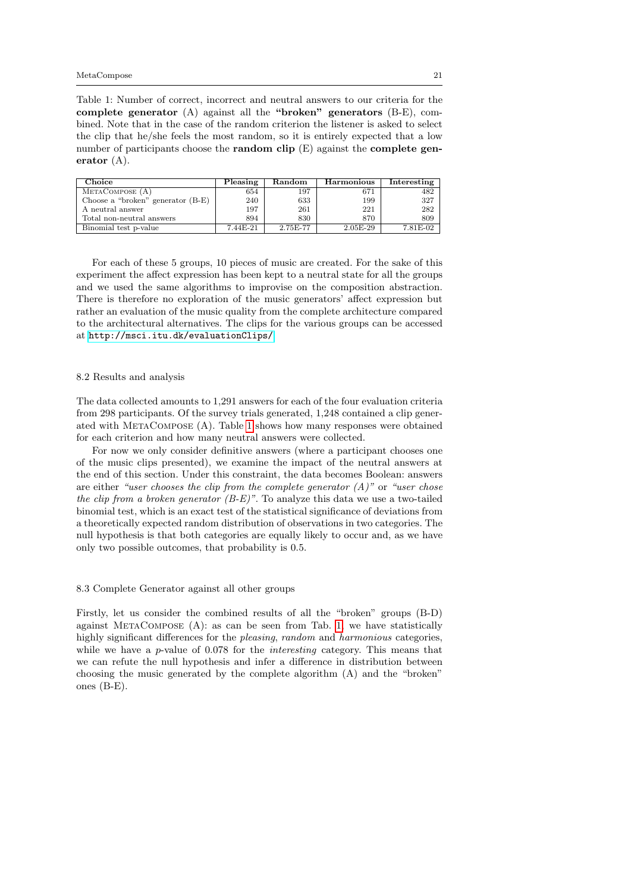<span id="page-20-0"></span>Table 1: Number of correct, incorrect and neutral answers to our criteria for the complete generator (A) against all the "broken" generators (B-E), combined. Note that in the case of the random criterion the listener is asked to select the clip that he/she feels the most random, so it is entirely expected that a low number of participants choose the **random clip**  $(E)$  against the **complete gen**erator (A).

| Choice                              | Pleasing | Random   | Harmonious | Interesting |
|-------------------------------------|----------|----------|------------|-------------|
| METACOMPOSE (A)                     | 654      | 197      | 671        | 482         |
| Choose a "broken" generator $(B-E)$ | 240      | 633      | 199        | 327         |
| A neutral answer                    | 197      | 261      | 221        | 282         |
| Total non-neutral answers           | 894      | 830      | 870        | 809         |
| Binomial test p-value               | 7.44E-21 | 2.75E-77 | $2.05E-29$ | 7.81E-02    |

For each of these 5 groups, 10 pieces of music are created. For the sake of this experiment the affect expression has been kept to a neutral state for all the groups and we used the same algorithms to improvise on the composition abstraction. There is therefore no exploration of the music generators' affect expression but rather an evaluation of the music quality from the complete architecture compared to the architectural alternatives. The clips for the various groups can be accessed at <http://msci.itu.dk/evaluationClips/>

#### 8.2 Results and analysis

The data collected amounts to 1,291 answers for each of the four evaluation criteria from 298 participants. Of the survey trials generated, 1,248 contained a clip generated with MetaCompose (A). Table [1](#page-20-0) shows how many responses were obtained for each criterion and how many neutral answers were collected.

For now we only consider definitive answers (where a participant chooses one of the music clips presented), we examine the impact of the neutral answers at the end of this section. Under this constraint, the data becomes Boolean: answers are either "user chooses the clip from the complete generator  $(A)$ " or "user chose the clip from a broken generator  $(B-E)^n$ . To analyze this data we use a two-tailed binomial test, which is an exact test of the statistical significance of deviations from a theoretically expected random distribution of observations in two categories. The null hypothesis is that both categories are equally likely to occur and, as we have only two possible outcomes, that probability is 0.5.

## 8.3 Complete Generator against all other groups

Firstly, let us consider the combined results of all the "broken" groups (B-D) against MetaCompose (A): as can be seen from Tab. [1,](#page-20-0) we have statistically highly significant differences for the *pleasing*, *random* and *harmonious* categories, while we have a  $p$ -value of 0.078 for the *interesting* category. This means that we can refute the null hypothesis and infer a difference in distribution between choosing the music generated by the complete algorithm (A) and the "broken" ones (B-E).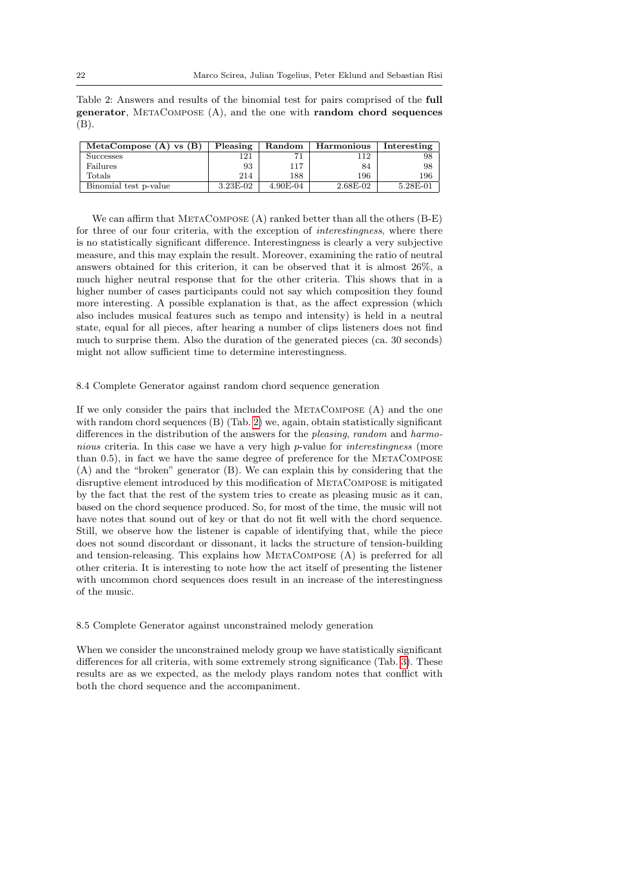<span id="page-21-0"></span>Table 2: Answers and results of the binomial test for pairs comprised of the full generator, METACOMPOSE  $(A)$ , and the one with random chord sequences (B).

| MetaCompose $(A)$ vs $(B)$ | Pleasing   | Random   | Harmonious | Interesting |
|----------------------------|------------|----------|------------|-------------|
| Successes                  | 121        |          | 112        | 98          |
| Failures                   | 93         | 117      | 84         | 98          |
| Totals                     | 214        | 188      | 196        | 196         |
| Binomial test p-value      | $3.23E-02$ | 4.90E-04 | $2.68E-02$ | 5.28E-01    |

We can affirm that METACOMPOSE  $(A)$  ranked better than all the others  $(B-E)$ for three of our four criteria, with the exception of interestingness, where there is no statistically significant difference. Interestingness is clearly a very subjective measure, and this may explain the result. Moreover, examining the ratio of neutral answers obtained for this criterion, it can be observed that it is almost 26%, a much higher neutral response that for the other criteria. This shows that in a higher number of cases participants could not say which composition they found more interesting. A possible explanation is that, as the affect expression (which also includes musical features such as tempo and intensity) is held in a neutral state, equal for all pieces, after hearing a number of clips listeners does not find much to surprise them. Also the duration of the generated pieces (ca. 30 seconds) might not allow sufficient time to determine interestingness.

#### 8.4 Complete Generator against random chord sequence generation

If we only consider the pairs that included the METACOMPOSE (A) and the one with random chord sequences (B) (Tab. [2\)](#page-21-0) we, again, obtain statistically significant differences in the distribution of the answers for the pleasing, random and harmonious criteria. In this case we have a very high p-value for *interestingness* (more than 0.5), in fact we have the same degree of preference for the METACOMPOSE (A) and the "broken" generator (B). We can explain this by considering that the disruptive element introduced by this modification of MetaCompose is mitigated by the fact that the rest of the system tries to create as pleasing music as it can, based on the chord sequence produced. So, for most of the time, the music will not have notes that sound out of key or that do not fit well with the chord sequence. Still, we observe how the listener is capable of identifying that, while the piece does not sound discordant or dissonant, it lacks the structure of tension-building and tension-releasing. This explains how MetaCompose (A) is preferred for all other criteria. It is interesting to note how the act itself of presenting the listener with uncommon chord sequences does result in an increase of the interestingness of the music.

#### 8.5 Complete Generator against unconstrained melody generation

When we consider the unconstrained melody group we have statistically significant differences for all criteria, with some extremely strong significance (Tab. [3\)](#page-22-0). These results are as we expected, as the melody plays random notes that conflict with both the chord sequence and the accompaniment.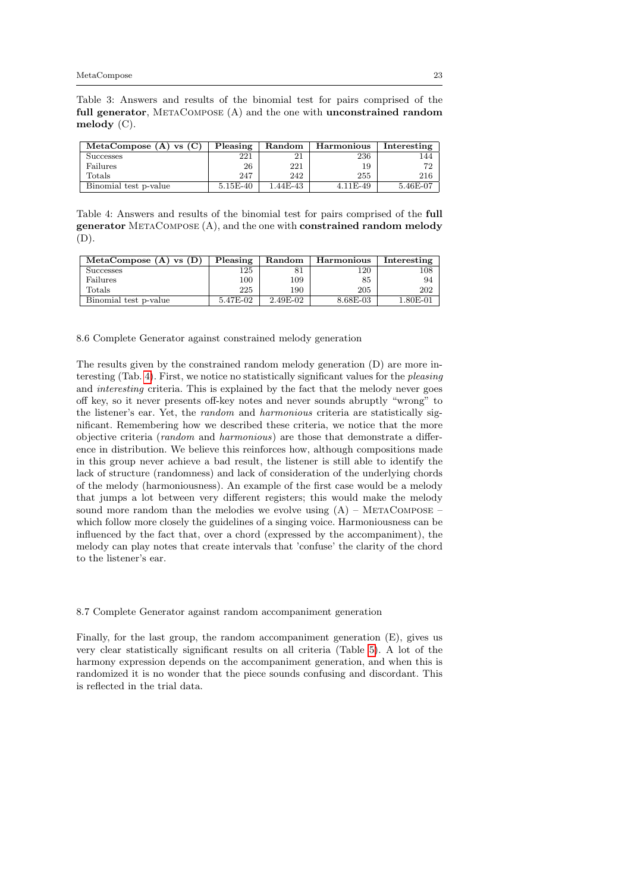<span id="page-22-0"></span>Table 3: Answers and results of the binomial test for pairs comprised of the full generator, METACOMPOSE (A) and the one with unconstrained random melody (C).

| MetaCompose $(A)$ vs $(C)$ | Pleasing   | Random   | Harmonious | Interesting |
|----------------------------|------------|----------|------------|-------------|
| <b>Successes</b>           | 221        |          | 236        | 44          |
| Failures                   | 26         | 221      | 19         | 72          |
| Totals                     | 247        | 242      | 255        | 216         |
| Binomial test p-value      | $5.15E-40$ | 1.44E-43 | $4.11E-49$ | 5.46E-07    |

<span id="page-22-1"></span>Table 4: Answers and results of the binomial test for pairs comprised of the full generator METACOMPOSE (A), and the one with constrained random melody (D).

| MetaCompose $(A)$ vs $(D)$ | Pleasing | Random   | Harmonious | Interesting |
|----------------------------|----------|----------|------------|-------------|
| <b>Successes</b>           | 125      |          | 120        | $^{108}$    |
| Failures                   | 100      | 109      | 85         | 94          |
| Totals                     | 225      | 190      | 205        | 202         |
| Binomial test p-value      | 5.47E-02 | 2.49E-02 | 8.68E-03   | 1.80E-01    |

8.6 Complete Generator against constrained melody generation

The results given by the constrained random melody generation (D) are more interesting (Tab. [4\)](#page-22-1). First, we notice no statistically significant values for the pleasing and interesting criteria. This is explained by the fact that the melody never goes off key, so it never presents off-key notes and never sounds abruptly "wrong" to the listener's ear. Yet, the random and harmonious criteria are statistically significant. Remembering how we described these criteria, we notice that the more objective criteria (random and harmonious) are those that demonstrate a difference in distribution. We believe this reinforces how, although compositions made in this group never achieve a bad result, the listener is still able to identify the lack of structure (randomness) and lack of consideration of the underlying chords of the melody (harmoniousness). An example of the first case would be a melody that jumps a lot between very different registers; this would make the melody sound more random than the melodies we evolve using  $(A)$  – METACOMPOSE – which follow more closely the guidelines of a singing voice. Harmoniousness can be influenced by the fact that, over a chord (expressed by the accompaniment), the melody can play notes that create intervals that 'confuse' the clarity of the chord to the listener's ear.

#### 8.7 Complete Generator against random accompaniment generation

Finally, for the last group, the random accompaniment generation (E), gives us very clear statistically significant results on all criteria (Table [5\)](#page-23-1). A lot of the harmony expression depends on the accompaniment generation, and when this is randomized it is no wonder that the piece sounds confusing and discordant. This is reflected in the trial data.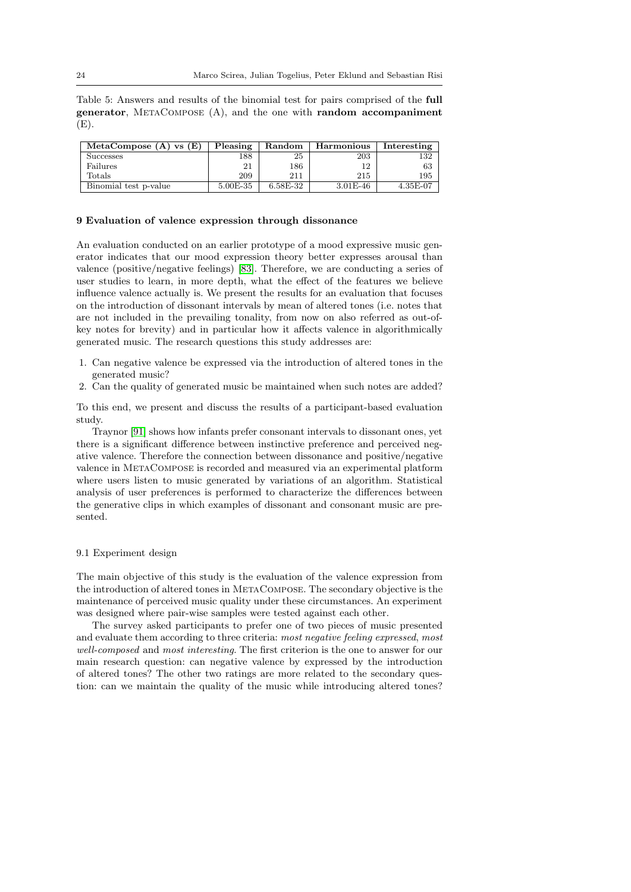<span id="page-23-1"></span>Table 5: Answers and results of the binomial test for pairs comprised of the full generator,  $METACOMPOSE$   $(A)$ , and the one with random accompaniment  $(E).$ 

| MetaCompose $(A)$ vs $(E)$ | Pleasing | Random       | Harmonious   | Interesting |
|----------------------------|----------|--------------|--------------|-------------|
| <b>Successes</b>           | 188      | 25           | 203          | 132         |
| Failures                   |          | 186          | 12           | 63          |
| Totals                     | 209      | 211          | 215          | 195         |
| Binomial test p-value      | 5.00E-35 | $6.58E - 32$ | $3.01E - 46$ | 4.35E-07    |

## <span id="page-23-0"></span>9 Evaluation of valence expression through dissonance

An evaluation conducted on an earlier prototype of a mood expressive music generator indicates that our mood expression theory better expresses arousal than valence (positive/negative feelings) [\[83\]](#page-30-22). Therefore, we are conducting a series of user studies to learn, in more depth, what the effect of the features we believe influence valence actually is. We present the results for an evaluation that focuses on the introduction of dissonant intervals by mean of altered tones (i.e. notes that are not included in the prevailing tonality, from now on also referred as out-ofkey notes for brevity) and in particular how it affects valence in algorithmically generated music. The research questions this study addresses are:

- 1. Can negative valence be expressed via the introduction of altered tones in the generated music?
- 2. Can the quality of generated music be maintained when such notes are added?

To this end, we present and discuss the results of a participant-based evaluation study.

Traynor [\[91\]](#page-31-9) shows how infants prefer consonant intervals to dissonant ones, yet there is a significant difference between instinctive preference and perceived negative valence. Therefore the connection between dissonance and positive/negative valence in MetaCompose is recorded and measured via an experimental platform where users listen to music generated by variations of an algorithm. Statistical analysis of user preferences is performed to characterize the differences between the generative clips in which examples of dissonant and consonant music are presented.

# 9.1 Experiment design

The main objective of this study is the evaluation of the valence expression from the introduction of altered tones in MetaCompose. The secondary objective is the maintenance of perceived music quality under these circumstances. An experiment was designed where pair-wise samples were tested against each other.

The survey asked participants to prefer one of two pieces of music presented and evaluate them according to three criteria: most negative feeling expressed, most well-composed and most interesting. The first criterion is the one to answer for our main research question: can negative valence by expressed by the introduction of altered tones? The other two ratings are more related to the secondary question: can we maintain the quality of the music while introducing altered tones?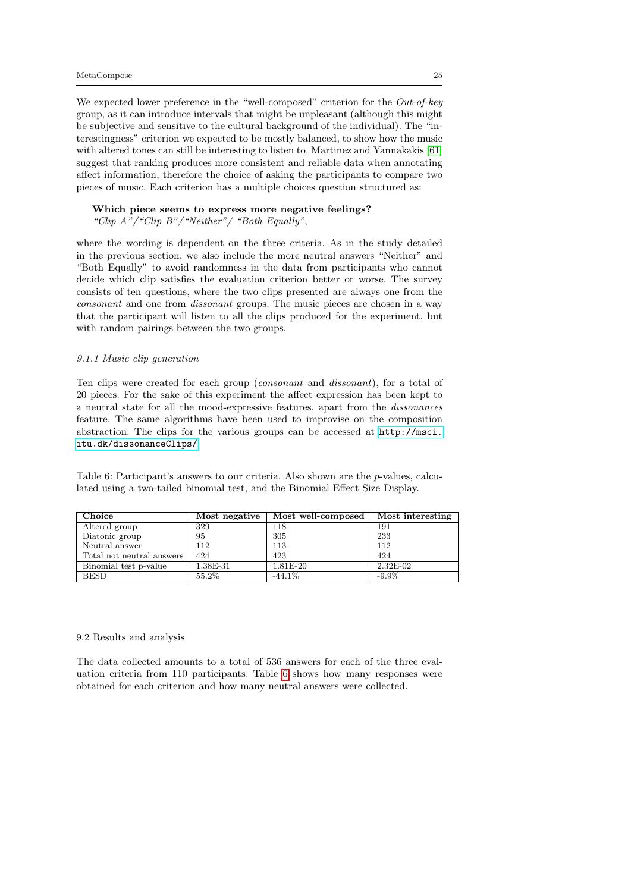We expected lower preference in the "well-composed" criterion for the Out-of-key group, as it can introduce intervals that might be unpleasant (although this might be subjective and sensitive to the cultural background of the individual). The "interestingness" criterion we expected to be mostly balanced, to show how the music with altered tones can still be interesting to listen to. Martinez and Yannakakis [\[61\]](#page-30-27) suggest that ranking produces more consistent and reliable data when annotating affect information, therefore the choice of asking the participants to compare two pieces of music. Each criterion has a multiple choices question structured as:

Which piece seems to express more negative feelings? "Clip A"/"Clip B"/"Neither"/ "Both Equally",

where the wording is dependent on the three criteria. As in the study detailed in the previous section, we also include the more neutral answers "Neither" and "Both Equally" to avoid randomness in the data from participants who cannot decide which clip satisfies the evaluation criterion better or worse. The survey consists of ten questions, where the two clips presented are always one from the consonant and one from dissonant groups. The music pieces are chosen in a way that the participant will listen to all the clips produced for the experiment, but with random pairings between the two groups.

#### 9.1.1 Music clip generation

Ten clips were created for each group (consonant and dissonant), for a total of 20 pieces. For the sake of this experiment the affect expression has been kept to a neutral state for all the mood-expressive features, apart from the dissonances feature. The same algorithms have been used to improvise on the composition abstraction. The clips for the various groups can be accessed at [http://msci.](http://msci.itu.dk/dissonanceClips/) [itu.dk/dissonanceClips/](http://msci.itu.dk/dissonanceClips/).

<span id="page-24-0"></span>Table 6: Participant's answers to our criteria. Also shown are the *p*-values, calculated using a two-tailed binomial test, and the Binomial Effect Size Display.

| Choice                    | Most negative | Most well-composed | Most interesting |
|---------------------------|---------------|--------------------|------------------|
| Altered group             | 329           | 118                | 191              |
| Diatonic group            | 95            | 305                | 233              |
| Neutral answer            | 112           | 113                | 112              |
| Total not neutral answers | 424           | 423                | 424              |
| Binomial test p-value     | 1.38E-31      | 1.81E-20           | $2.32E-02$       |
| <b>BESD</b>               | 55.2%         | $-44.1\%$          | $-9.9\%$         |

## 9.2 Results and analysis

The data collected amounts to a total of 536 answers for each of the three evaluation criteria from 110 participants. Table [6](#page-24-0) shows how many responses were obtained for each criterion and how many neutral answers were collected.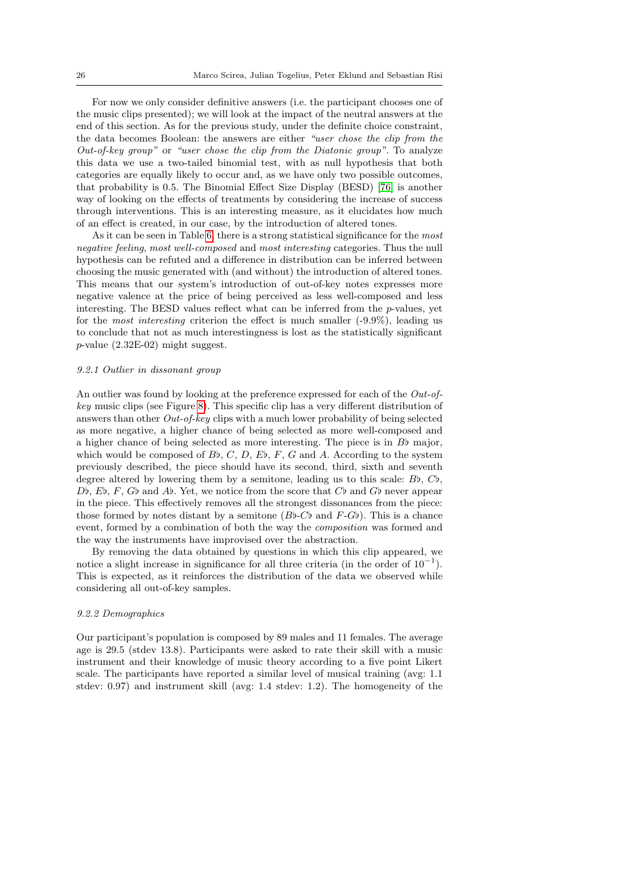For now we only consider definitive answers (i.e. the participant chooses one of the music clips presented); we will look at the impact of the neutral answers at the end of this section. As for the previous study, under the definite choice constraint, the data becomes Boolean: the answers are either "user chose the clip from the Out-of-key group" or "user chose the clip from the Diatonic group". To analyze this data we use a two-tailed binomial test, with as null hypothesis that both categories are equally likely to occur and, as we have only two possible outcomes, that probability is 0.5. The Binomial Effect Size Display (BESD) [\[76\]](#page-30-28) is another way of looking on the effects of treatments by considering the increase of success through interventions. This is an interesting measure, as it elucidates how much of an effect is created, in our case, by the introduction of altered tones.

As it can be seen in Table [6,](#page-24-0) there is a strong statistical significance for the most negative feeling, most well-composed and most interesting categories. Thus the null hypothesis can be refuted and a difference in distribution can be inferred between choosing the music generated with (and without) the introduction of altered tones. This means that our system's introduction of out-of-key notes expresses more negative valence at the price of being perceived as less well-composed and less interesting. The BESD values reflect what can be inferred from the  $p$ -values, yet for the *most interesting* criterion the effect is much smaller  $(-9.9\%)$ , leading us to conclude that not as much interestingness is lost as the statistically significant  $p$ -value  $(2.32E-02)$  might suggest.

#### 9.2.1 Outlier in dissonant group

An outlier was found by looking at the preference expressed for each of the Out-ofkey music clips (see Figure [8\)](#page-26-1). This specific clip has a very different distribution of answers than other Out-of-key clips with a much lower probability of being selected as more negative, a higher chance of being selected as more well-composed and a higher chance of being selected as more interesting. The piece is in  $B\flat$  major, which would be composed of  $B_b, C, D, E_b, F, G$  and A. According to the system previously described, the piece should have its second, third, sixth and seventh degree altered by lowering them by a semitone, leading us to this scale:  $B$ ,  $C$ ,  $\phi$ , Db,  $E\flat$ ,  $F$ ,  $G\flat$  and  $A\flat$ . Yet, we notice from the score that  $C\flat$  and  $G\flat$  never appear in the piece. This effectively removes all the strongest dissonances from the piece: those formed by notes distant by a semitone ( $B$ b-C<sup>b</sup> and  $F$ -G<sup>b</sup>). This is a chance event, formed by a combination of both the way the composition was formed and the way the instruments have improvised over the abstraction.

By removing the data obtained by questions in which this clip appeared, we notice a slight increase in significance for all three criteria (in the order of  $10^{-1}$ ). This is expected, as it reinforces the distribution of the data we observed while considering all out-of-key samples.

# 9.2.2 Demographics

Our participant's population is composed by 89 males and 11 females. The average age is 29.5 (stdev 13.8). Participants were asked to rate their skill with a music instrument and their knowledge of music theory according to a five point Likert scale. The participants have reported a similar level of musical training (avg: 1.1 stdev: 0.97) and instrument skill (avg: 1.4 stdev: 1.2). The homogeneity of the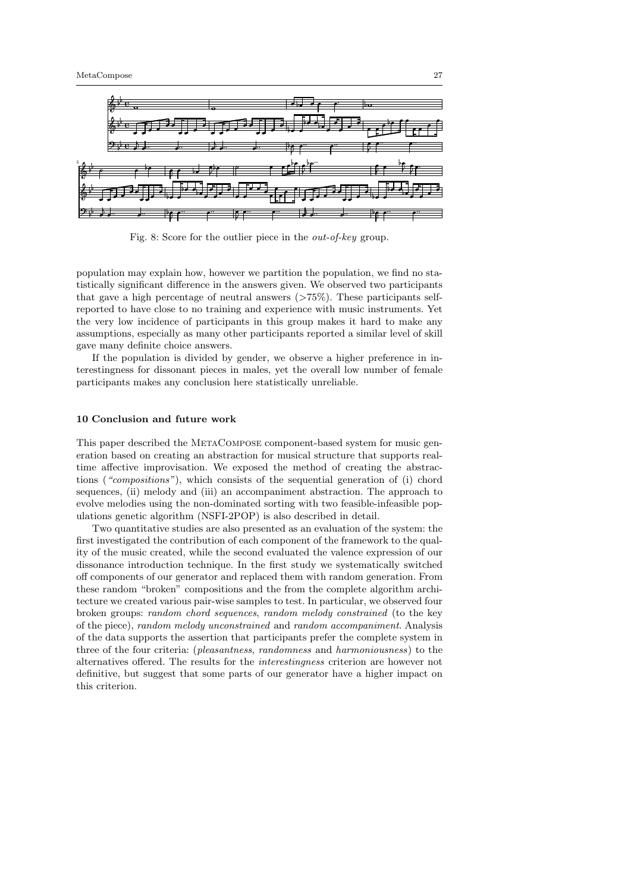<span id="page-26-1"></span>

Fig. 8: Score for the outlier piece in the out-of-key group.

population may explain how, however we partition the population, we find no statistically significant difference in the answers given. We observed two participants that gave a high percentage of neutral answers  $(>75\%)$ . These participants selfreported to have close to no training and experience with music instruments. Yet the very low incidence of participants in this group makes it hard to make any assumptions, especially as many other participants reported a similar level of skill gave many definite choice answers.

If the population is divided by gender, we observe a higher preference in interestingness for dissonant pieces in males, yet the overall low number of female participants makes any conclusion here statistically unreliable.

# <span id="page-26-0"></span>10 Conclusion and future work

This paper described the METACOMPOSE component-based system for music generation based on creating an abstraction for musical structure that supports realtime affective improvisation. We exposed the method of creating the abstractions ("compositions"), which consists of the sequential generation of (i) chord sequences, (ii) melody and (iii) an accompaniment abstraction. The approach to evolve melodies using the non-dominated sorting with two feasible-infeasible populations genetic algorithm (NSFI-2POP) is also described in detail.

Two quantitative studies are also presented as an evaluation of the system: the first investigated the contribution of each component of the framework to the quality of the music created, while the second evaluated the valence expression of our dissonance introduction technique. In the first study we systematically switched off components of our generator and replaced them with random generation. From these random "broken" compositions and the from the complete algorithm architecture we created various pair-wise samples to test. In particular, we observed four broken groups: random chord sequences, random melody constrained (to the key of the piece), random melody unconstrained and random accompaniment. Analysis of the data supports the assertion that participants prefer the complete system in three of the four criteria: (pleasantness, randomness and harmoniousness) to the alternatives offered. The results for the interestingness criterion are however not definitive, but suggest that some parts of our generator have a higher impact on this criterion.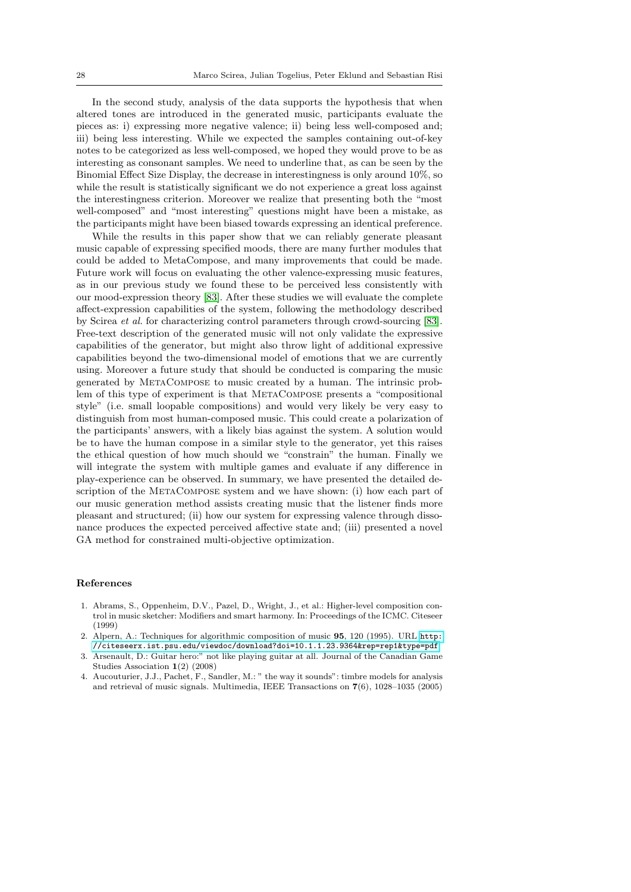In the second study, analysis of the data supports the hypothesis that when altered tones are introduced in the generated music, participants evaluate the pieces as: i) expressing more negative valence; ii) being less well-composed and; iii) being less interesting. While we expected the samples containing out-of-key notes to be categorized as less well-composed, we hoped they would prove to be as interesting as consonant samples. We need to underline that, as can be seen by the Binomial Effect Size Display, the decrease in interestingness is only around 10%, so while the result is statistically significant we do not experience a great loss against the interestingness criterion. Moreover we realize that presenting both the "most well-composed" and "most interesting" questions might have been a mistake, as the participants might have been biased towards expressing an identical preference.

While the results in this paper show that we can reliably generate pleasant music capable of expressing specified moods, there are many further modules that could be added to MetaCompose, and many improvements that could be made. Future work will focus on evaluating the other valence-expressing music features, as in our previous study we found these to be perceived less consistently with our mood-expression theory [\[83\]](#page-30-22). After these studies we will evaluate the complete affect-expression capabilities of the system, following the methodology described by Scirea et al. for characterizing control parameters through crowd-sourcing [\[83\]](#page-30-22). Free-text description of the generated music will not only validate the expressive capabilities of the generator, but might also throw light of additional expressive capabilities beyond the two-dimensional model of emotions that we are currently using. Moreover a future study that should be conducted is comparing the music generated by MetaCompose to music created by a human. The intrinsic problem of this type of experiment is that METACOMPOSE presents a "compositional style" (i.e. small loopable compositions) and would very likely be very easy to distinguish from most human-composed music. This could create a polarization of the participants' answers, with a likely bias against the system. A solution would be to have the human compose in a similar style to the generator, yet this raises the ethical question of how much should we "constrain" the human. Finally we will integrate the system with multiple games and evaluate if any difference in play-experience can be observed. In summary, we have presented the detailed description of the MetaCompose system and we have shown: (i) how each part of our music generation method assists creating music that the listener finds more pleasant and structured; (ii) how our system for expressing valence through dissonance produces the expected perceived affective state and; (iii) presented a novel GA method for constrained multi-objective optimization.

## References

- <span id="page-27-2"></span>1. Abrams, S., Oppenheim, D.V., Pazel, D., Wright, J., et al.: Higher-level composition control in music sketcher: Modifiers and smart harmony. In: Proceedings of the ICMC. Citeseer (1999)
- <span id="page-27-1"></span>2. Alpern, A.: Techniques for algorithmic composition of music 95, 120 (1995). URL [http:](http://citeseerx.ist.psu.edu/viewdoc/download?doi=10.1.1.23.9364&rep=rep1&type=pdf) [//citeseerx.ist.psu.edu/viewdoc/download?doi=10.1.1.23.9364&rep=rep1&type=pdf](http://citeseerx.ist.psu.edu/viewdoc/download?doi=10.1.1.23.9364&rep=rep1&type=pdf)
- <span id="page-27-0"></span>3. Arsenault, D.: Guitar hero:" not like playing guitar at all. Journal of the Canadian Game Studies Association 1(2) (2008)
- <span id="page-27-3"></span>4. Aucouturier, J.J., Pachet, F., Sandler, M.: " the way it sounds": timbre models for analysis and retrieval of music signals. Multimedia, IEEE Transactions on 7(6), 1028–1035 (2005)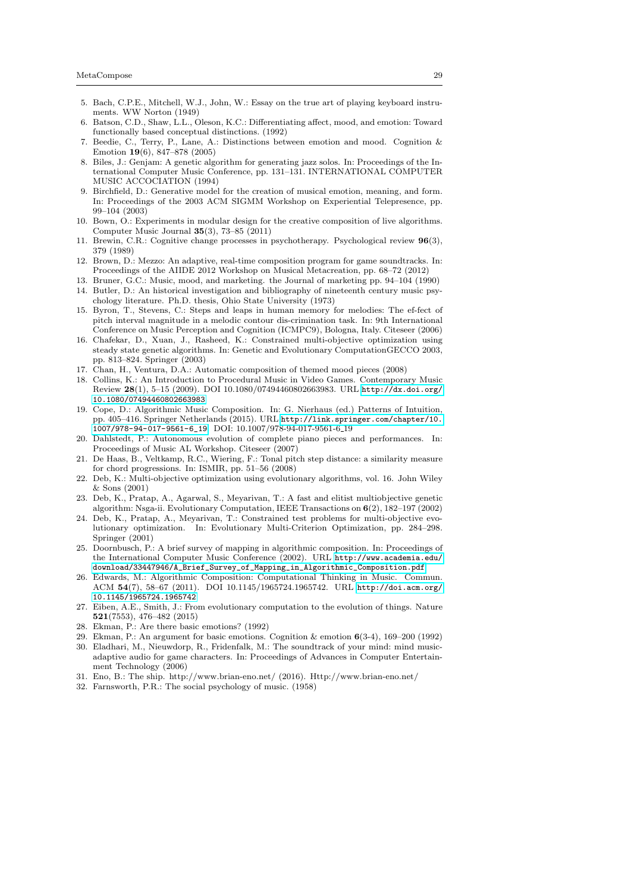- <span id="page-28-26"></span>5. Bach, C.P.E., Mitchell, W.J., John, W.: Essay on the true art of playing keyboard instruments. WW Norton (1949)
- <span id="page-28-15"></span>6. Batson, C.D., Shaw, L.L., Oleson, K.C.: Differentiating affect, mood, and emotion: Toward functionally based conceptual distinctions. (1992)
- <span id="page-28-16"></span>7. Beedie, C., Terry, P., Lane, A.: Distinctions between emotion and mood. Cognition & Emotion 19(6), 847–878 (2005)
- <span id="page-28-6"></span>8. Biles, J.: Genjam: A genetic algorithm for generating jazz solos. In: Proceedings of the International Computer Music Conference, pp. 131–131. INTERNATIONAL COMPUTER MUSIC ACCOCIATION (1994)
- <span id="page-28-7"></span>9. Birchfield, D.: Generative model for the creation of musical emotion, meaning, and form. In: Proceedings of the 2003 ACM SIGMM Workshop on Experiential Telepresence, pp. 99–104 (2003)
- <span id="page-28-23"></span>10. Bown, O.: Experiments in modular design for the creative composition of live algorithms. Computer Music Journal 35(3), 73–85 (2011)
- <span id="page-28-14"></span>11. Brewin, C.R.: Cognitive change processes in psychotherapy. Psychological review 96(3), 379 (1989)
- <span id="page-28-11"></span>12. Brown, D.: Mezzo: An adaptive, real-time composition program for game soundtracks. In: Proceedings of the AIIDE 2012 Workshop on Musical Metacreation, pp. 68–72 (2012)
- <span id="page-28-18"></span>13. Bruner, G.C.: Music, mood, and marketing. the Journal of marketing pp. 94–104 (1990)
- <span id="page-28-17"></span>14. Butler, D.: An historical investigation and bibliography of nineteenth century music psychology literature. Ph.D. thesis, Ohio State University (1973)
- <span id="page-28-25"></span>15. Byron, T., Stevens, C.: Steps and leaps in human memory for melodies: The ef-fect of pitch interval magnitude in a melodic contour dis-crimination task. In: 9th International Conference on Music Perception and Cognition (ICMPC9), Bologna, Italy. Citeseer (2006)
- <span id="page-28-22"></span>16. Chafekar, D., Xuan, J., Rasheed, K.: Constrained multi-objective optimization using steady state genetic algorithms. In: Genetic and Evolutionary ComputationGECCO 2003, pp. 813–824. Springer (2003)
- <span id="page-28-9"></span>17. Chan, H., Ventura, D.A.: Automatic composition of themed mood pieces (2008)
- <span id="page-28-5"></span>18. Collins, K.: An Introduction to Procedural Music in Video Games. Contemporary Music Review 28(1), 5–15 (2009). DOI 10.1080/07494460802663983. URL [http://dx.doi.org/](http://dx.doi.org/10.1080/07494460802663983) [10.1080/07494460802663983](http://dx.doi.org/10.1080/07494460802663983)
- <span id="page-28-4"></span>19. Cope, D.: Algorithmic Music Composition. In: G. Nierhaus (ed.) Patterns of Intuition, pp. 405–416. Springer Netherlands (2015). URL [http://link.springer.com/chapter/10.](http://link.springer.com/chapter/10.1007/978-94-017-9561-6_19) [1007/978-94-017-9561-6\\_19](http://link.springer.com/chapter/10.1007/978-94-017-9561-6_19). DOI: 10.1007/978-94-017-9561-6 19
- <span id="page-28-1"></span>20. Dahlstedt, P.: Autonomous evolution of complete piano pieces and performances. In: Proceedings of Music AL Workshop. Citeseer (2007)
- <span id="page-28-27"></span>21. De Haas, B., Veltkamp, R.C., Wiering, F.: Tonal pitch step distance: a similarity measure for chord progressions. In: ISMIR, pp. 51–56 (2008)
- <span id="page-28-24"></span>22. Deb, K.: Multi-objective optimization using evolutionary algorithms, vol. 16. John Wiley & Sons (2001)
- <span id="page-28-20"></span>23. Deb, K., Pratap, A., Agarwal, S., Meyarivan, T.: A fast and elitist multiobjective genetic algorithm: Nsga-ii. Evolutionary Computation, IEEE Transactions on 6(2), 182–197 (2002)
- <span id="page-28-21"></span>24. Deb, K., Pratap, A., Meyarivan, T.: Constrained test problems for multi-objective evolutionary optimization. In: Evolutionary Multi-Criterion Optimization, pp. 284–298. Springer (2001)
- <span id="page-28-2"></span>25. Doornbusch, P.: A brief survey of mapping in algorithmic composition. In: Proceedings of the International Computer Music Conference (2002). URL [http://www.academia.edu/](http://www.academia.edu/download/33447946/A_Brief_Survey_of_Mapping_in_Algorithmic_Composition.pdf) [download/33447946/A\\_Brief\\_Survey\\_of\\_Mapping\\_in\\_Algorithmic\\_Composition.pdf](http://www.academia.edu/download/33447946/A_Brief_Survey_of_Mapping_in_Algorithmic_Composition.pdf)
- <span id="page-28-3"></span>26. Edwards, M.: Algorithmic Composition: Computational Thinking in Music. Commun. ACM 54(7), 58–67 (2011). DOI 10.1145/1965724.1965742. URL [http://doi.acm.org/](http://doi.acm.org/10.1145/1965724.1965742) [10.1145/1965724.1965742](http://doi.acm.org/10.1145/1965724.1965742)
- <span id="page-28-10"></span>27. Eiben, A.E., Smith, J.: From evolutionary computation to the evolution of things. Nature 521(7553), 476–482 (2015)
- <span id="page-28-13"></span>28. Ekman, P.: Are there basic emotions? (1992)
- <span id="page-28-12"></span>29. Ekman, P.: An argument for basic emotions. Cognition & emotion 6(3-4), 169–200 (1992)
- <span id="page-28-8"></span>30. Eladhari, M., Nieuwdorp, R., Fridenfalk, M.: The soundtrack of your mind: mind musicadaptive audio for game characters. In: Proceedings of Advances in Computer Entertainment Technology (2006)
- <span id="page-28-0"></span>31. Eno, B.: The ship. http://www.brian-eno.net/ (2016). Http://www.brian-eno.net/
- <span id="page-28-19"></span>32. Farnsworth, P.R.: The social psychology of music. (1958)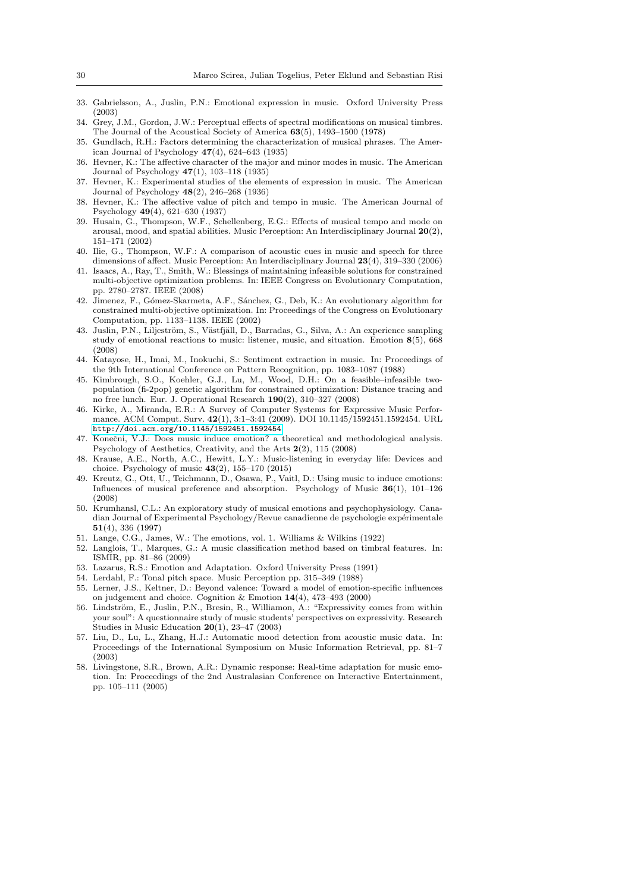- <span id="page-29-17"></span>33. Gabrielsson, A., Juslin, P.N.: Emotional expression in music. Oxford University Press (2003)
- <span id="page-29-23"></span>34. Grey, J.M., Gordon, J.W.: Perceptual effects of spectral modifications on musical timbres. The Journal of the Acoustical Society of America 63(5), 1493–1500 (1978)
- <span id="page-29-16"></span>35. Gundlach, R.H.: Factors determining the characterization of musical phrases. The American Journal of Psychology  $47(4)$ ,  $624-643$  (1935)
- <span id="page-29-12"></span>36. Hevner, K.: The affective character of the major and minor modes in music. The American Journal of Psychology 47(1), 103–118 (1935)
- <span id="page-29-9"></span>37. Hevner, K.: Experimental studies of the elements of expression in music. The American Journal of Psychology 48(2), 246–268 (1936)
- <span id="page-29-13"></span>38. Hevner, K.: The affective value of pitch and tempo in music. The American Journal of Psychology 49(4), 621–630 (1937)
- <span id="page-29-24"></span>39. Husain, G., Thompson, W.F., Schellenberg, E.G.: Effects of musical tempo and mode on arousal, mood, and spatial abilities. Music Perception: An Interdisciplinary Journal 20(2), 151–171 (2002)
- <span id="page-29-15"></span>40. Ilie, G., Thompson, W.F.: A comparison of acoustic cues in music and speech for three dimensions of affect. Music Perception: An Interdisciplinary Journal 23(4), 319–330 (2006)
- <span id="page-29-20"></span>41. Isaacs, A., Ray, T., Smith, W.: Blessings of maintaining infeasible solutions for constrained multi-objective optimization problems. In: IEEE Congress on Evolutionary Computation, pp. 2780–2787. IEEE (2008)
- <span id="page-29-19"></span>42. Jimenez, F., Gómez-Skarmeta, A.F., Sánchez, G., Deb, K.: An evolutionary algorithm for constrained multi-objective optimization. In: Proceedings of the Congress on Evolutionary Computation, pp. 1133–1138. IEEE (2002)
- <span id="page-29-2"></span>43. Juslin, P.N., Liljeström, S., Västfjäll, D., Barradas, G., Silva, A.: An experience sampling study of emotional reactions to music: listener, music, and situation. Emotion 8(5), 668 (2008)
- <span id="page-29-8"></span>44. Katayose, H., Imai, M., Inokuchi, S.: Sentiment extraction in music. In: Proceedings of the 9th International Conference on Pattern Recognition, pp. 1083–1087 (1988)
- <span id="page-29-18"></span>45. Kimbrough, S.O., Koehler, G.J., Lu, M., Wood, D.H.: On a feasible–infeasible twopopulation (fi-2pop) genetic algorithm for constrained optimization: Distance tracing and no free lunch. Eur. J. Operational Research 190(2), 310–327 (2008)
- <span id="page-29-3"></span>46. Kirke, A., Miranda, E.R.: A Survey of Computer Systems for Expressive Music Performance. ACM Comput. Surv. 42(1), 3:1–3:41 (2009). DOI 10.1145/1592451.1592454. URL <http://doi.acm.org/10.1145/1592451.1592454>
- <span id="page-29-0"></span>47. Konečni, V.J.: Does music induce emotion? a theoretical and methodological analysis. Psychology of Aesthetics, Creativity, and the Arts 2(2), 115 (2008)
- <span id="page-29-1"></span>48. Krause, A.E., North, A.C., Hewitt, L.Y.: Music-listening in everyday life: Devices and choice. Psychology of music  $43(2)$ , 155–170 (2015)
- <span id="page-29-10"></span>49. Kreutz, G., Ott, U., Teichmann, D., Osawa, P., Vaitl, D.: Using music to induce emotions: Influences of musical preference and absorption. Psychology of Music  $36(1)$ ,  $101-126$ (2008)
- <span id="page-29-14"></span>50. Krumhansl, C.L.: An exploratory study of musical emotions and psychophysiology. Canadian Journal of Experimental Psychology/Revue canadienne de psychologie expérimentale 51(4), 336 (1997)
- <span id="page-29-5"></span>51. Lange, C.G., James, W.: The emotions, vol. 1. Williams & Wilkins (1922)
- <span id="page-29-22"></span>52. Langlois, T., Marques, G.: A music classification method based on timbral features. In: ISMIR, pp. 81–86 (2009)
- <span id="page-29-6"></span>53. Lazarus, R.S.: Emotion and Adaptation. Oxford University Press (1991)
- <span id="page-29-25"></span>54. Lerdahl, F.: Tonal pitch space. Music Perception pp. 315–349 (1988)
- <span id="page-29-7"></span>55. Lerner, J.S., Keltner, D.: Beyond valence: Toward a model of emotion-specific influences on judgement and choice. Cognition & Emotion 14(4), 473–493 (2000)
- <span id="page-29-11"></span>56. Lindström, E., Juslin, P.N., Bresin, R., Williamon, A.: "Expressivity comes from within your soul": A questionnaire study of music students' perspectives on expressivity. Research Studies in Music Education 20(1), 23–47 (2003)
- <span id="page-29-21"></span>57. Liu, D., Lu, L., Zhang, H.J.: Automatic mood detection from acoustic music data. In: Proceedings of the International Symposium on Music Information Retrieval, pp. 81–7 (2003)
- <span id="page-29-4"></span>58. Livingstone, S.R., Brown, A.R.: Dynamic response: Real-time adaptation for music emotion. In: Proceedings of the 2nd Australasian Conference on Interactive Entertainment, pp. 105–111 (2005)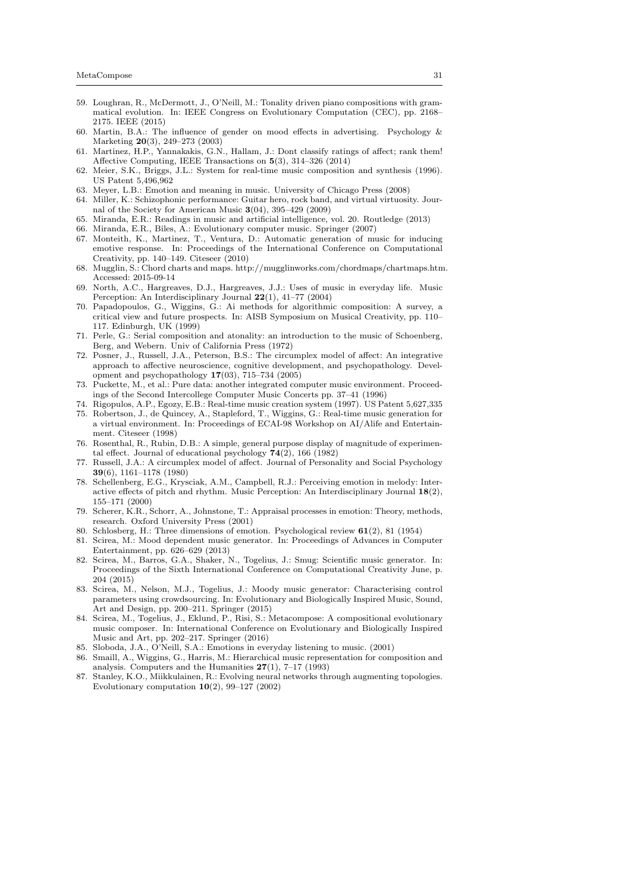- <span id="page-30-12"></span>59. Loughran, R., McDermott, J., O'Neill, M.: Tonality driven piano compositions with grammatical evolution. In: IEEE Congress on Evolutionary Computation (CEC), pp. 2168– 2175. IEEE (2015)
- <span id="page-30-19"></span>60. Martin, B.A.: The influence of gender on mood effects in advertising. Psychology  $\&$ Marketing 20(3), 249–273 (2003)
- <span id="page-30-27"></span>61. Martinez, H.P., Yannakakis, G.N., Hallam, J.: Dont classify ratings of affect; rank them! Affective Computing, IEEE Transactions on 5(3), 314–326 (2014)
- <span id="page-30-15"></span>62. Meier, S.K., Briggs, J.L.: System for real-time music composition and synthesis (1996). US Patent 5,496,962
- <span id="page-30-24"></span>63. Meyer, L.B.: Emotion and meaning in music. University of Chicago Press (2008)
- <span id="page-30-1"></span>64. Miller, K.: Schizophonic performance: Guitar hero, rock band, and virtual virtuosity. Journal of the Society for American Music  $3(04)$ , 395–429 (2009)
- <span id="page-30-7"></span>65. Miranda, E.R.: Readings in music and artificial intelligence, vol. 20. Routledge (2013)
- <span id="page-30-13"></span>66. Miranda, E.R., Biles, A.: Evolutionary computer music. Springer (2007)
- <span id="page-30-11"></span>67. Monteith, K., Martinez, T., Ventura, D.: Automatic generation of music for inducing emotive response. In: Proceedings of the International Conference on Computational Creativity, pp. 140–149. Citeseer (2010)
- <span id="page-30-23"></span>68. Mugglin, S.: Chord charts and maps. http://mugglinworks.com/chordmaps/chartmaps.htm. Accessed: 2015-09-14
- <span id="page-30-2"></span>69. North, A.C., Hargreaves, D.J., Hargreaves, J.J.: Uses of music in everyday life. Music Perception: An Interdisciplinary Journal 22(1), 41–77 (2004)
- <span id="page-30-0"></span>70. Papadopoulos, G., Wiggins, G.: Ai methods for algorithmic composition: A survey, a critical view and future prospects. In: AISB Symposium on Musical Creativity, pp. 110– 117. Edinburgh, UK (1999)
- <span id="page-30-25"></span>71. Perle, G.: Serial composition and atonality: an introduction to the music of Schoenberg, Berg, and Webern. Univ of California Press (1972)
- <span id="page-30-17"></span>72. Posner, J., Russell, J.A., Peterson, B.S.: The circumplex model of affect: An integrative approach to affective neuroscience, cognitive development, and psychopathology. Development and psychopathology 17(03), 715–734 (2005)
- <span id="page-30-8"></span>73. Puckette, M., et al.: Pure data: another integrated computer music environment. Proceedings of the Second Intercollege Computer Music Concerts pp. 37–41 (1996)
- <span id="page-30-14"></span><span id="page-30-9"></span>74. Rigopulos, A.P., Egozy, E.B.: Real-time music creation system (1997). US Patent 5,627,335 75. Robertson, J., de Quincey, A., Stapleford, T., Wiggins, G.: Real-time music generation for a virtual environment. In: Proceedings of ECAI-98 Workshop on AI/Alife and Entertainment. Citeseer (1998)
- <span id="page-30-28"></span>76. Rosenthal, R., Rubin, D.B.: A simple, general purpose display of magnitude of experimental effect. Journal of educational psychology  $74(2)$ , 166 (1982)
- <span id="page-30-20"></span>77. Russell, J.A.: A circumplex model of affect. Journal of Personality and Social Psychology 39(6), 1161–1178 (1980)
- <span id="page-30-21"></span>78. Schellenberg, E.G., Krysciak, A.M., Campbell, R.J.: Perceiving emotion in melody: Interactive effects of pitch and rhythm. Music Perception: An Interdisciplinary Journal 18(2), 155–171 (2000)
- <span id="page-30-16"></span>79. Scherer, K.R., Schorr, A., Johnstone, T.: Appraisal processes in emotion: Theory, methods, research. Oxford University Press (2001)
- <span id="page-30-18"></span>80. Schlosberg, H.: Three dimensions of emotion. Psychological review 61(2), 81 (1954)
- <span id="page-30-4"></span>81. Scirea, M.: Mood dependent music generator. In: Proceedings of Advances in Computer Entertainment, pp. 626–629 (2013)
- <span id="page-30-5"></span>82. Scirea, M., Barros, G.A., Shaker, N., Togelius, J.: Smug: Scientific music generator. In: Proceedings of the Sixth International Conference on Computational Creativity June, p. 204 (2015)
- <span id="page-30-22"></span>83. Scirea, M., Nelson, M.J., Togelius, J.: Moody music generator: Characterising control parameters using crowdsourcing. In: Evolutionary and Biologically Inspired Music, Sound, Art and Design, pp. 200–211. Springer (2015)
- <span id="page-30-6"></span>84. Scirea, M., Togelius, J., Eklund, P., Risi, S.: Metacompose: A compositional evolutionary music composer. In: International Conference on Evolutionary and Biologically Inspired Music and Art, pp. 202–217. Springer (2016)
- <span id="page-30-3"></span>85. Sloboda, J.A., O'Neill, S.A.: Emotions in everyday listening to music. (2001)
- <span id="page-30-10"></span>86. Smaill, A., Wiggins, G., Harris, M.: Hierarchical music representation for composition and analysis. Computers and the Humanities  $27(1)$ , 7–17 (1993)
- <span id="page-30-26"></span>87. Stanley, K.O., Miikkulainen, R.: Evolving neural networks through augmenting topologies. Evolutionary computation  $10(2)$ , 99–127 (2002)